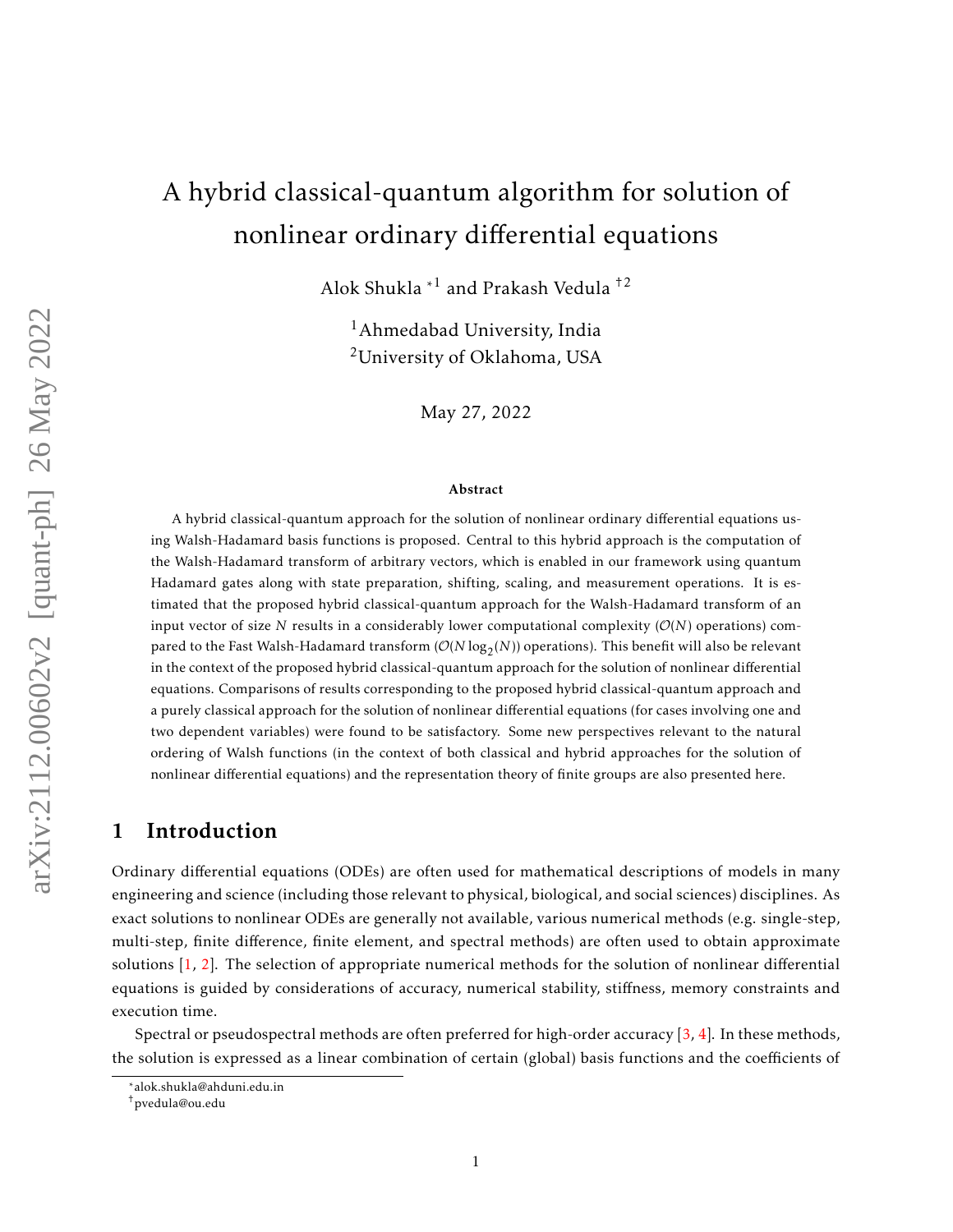# A hybrid classical-quantum algorithm for solution of nonlinear ordinary differential equations

Alok Shukla \*<sup>1</sup> and Prakash Vedula †2

<sup>1</sup>Ahmedabad University, India <sup>2</sup>University of Oklahoma, USA

May 27, 2022

#### Abstract

A hybrid classical-quantum approach for the solution of nonlinear ordinary differential equations using Walsh-Hadamard basis functions is proposed. Central to this hybrid approach is the computation of the Walsh-Hadamard transform of arbitrary vectors, which is enabled in our framework using quantum Hadamard gates along with state preparation, shifting, scaling, and measurement operations. It is estimated that the proposed hybrid classical-quantum approach for the Walsh-Hadamard transform of an input vector of size *N* results in a considerably lower computational complexity  $(\mathcal{O}(N))$  operations) compared to the Fast Walsh-Hadamard transform  $(\mathcal{O}(N\log_2(N))$  operations). This benefit will also be relevant in the context of the proposed hybrid classical-quantum approach for the solution of nonlinear differential equations. Comparisons of results corresponding to the proposed hybrid classical-quantum approach and a purely classical approach for the solution of nonlinear differential equations (for cases involving one and two dependent variables) were found to be satisfactory. Some new perspectives relevant to the natural ordering of Walsh functions (in the context of both classical and hybrid approaches for the solution of nonlinear differential equations) and the representation theory of finite groups are also presented here.

## 1 Introduction

Ordinary differential equations (ODEs) are often used for mathematical descriptions of models in many engineering and science (including those relevant to physical, biological, and social sciences) disciplines. As exact solutions to nonlinear ODEs are generally not available, various numerical methods (e.g. single-step, multi-step, finite difference, finite element, and spectral methods) are often used to obtain approximate solutions [\[1,](#page-26-0) [2\]](#page-26-1). The selection of appropriate numerical methods for the solution of nonlinear differential equations is guided by considerations of accuracy, numerical stability, stiffness, memory constraints and execution time.

Spectral or pseudospectral methods are often preferred for high-order accuracy [\[3,](#page-26-2) [4\]](#page-26-3). In these methods, the solution is expressed as a linear combination of certain (global) basis functions and the coefficients of

<sup>\*</sup>alok.shukla@ahduni.edu.in

<sup>†</sup>pvedula@ou.edu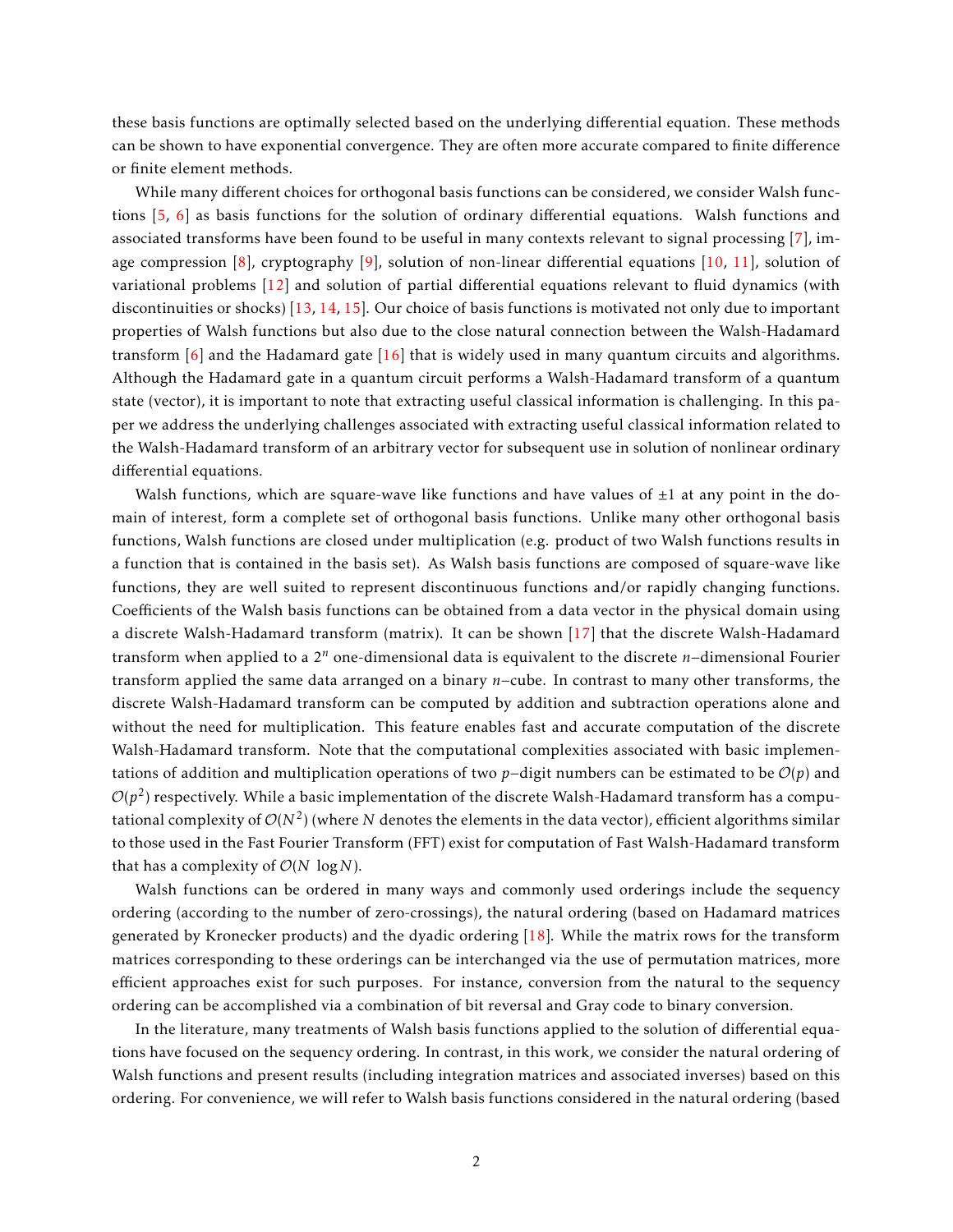these basis functions are optimally selected based on the underlying differential equation. These methods can be shown to have exponential convergence. They are often more accurate compared to finite difference or finite element methods.

While many different choices for orthogonal basis functions can be considered, we consider Walsh functions [\[5,](#page-26-4) [6\]](#page-26-5) as basis functions for the solution of ordinary differential equations. Walsh functions and associated transforms have been found to be useful in many contexts relevant to signal processing [\[7\]](#page-26-6), image compression [\[8\]](#page-26-7), cryptography [\[9\]](#page-26-8), solution of non-linear differential equations [\[10,](#page-26-9) [11\]](#page-27-0), solution of variational problems [\[12\]](#page-27-1) and solution of partial differential equations relevant to fluid dynamics (with discontinuities or shocks) [\[13,](#page-27-2) [14,](#page-27-3) [15\]](#page-27-4). Our choice of basis functions is motivated not only due to important properties of Walsh functions but also due to the close natural connection between the Walsh-Hadamard transform [\[6\]](#page-26-5) and the Hadamard gate [\[16\]](#page-27-5) that is widely used in many quantum circuits and algorithms. Although the Hadamard gate in a quantum circuit performs a Walsh-Hadamard transform of a quantum state (vector), it is important to note that extracting useful classical information is challenging. In this paper we address the underlying challenges associated with extracting useful classical information related to the Walsh-Hadamard transform of an arbitrary vector for subsequent use in solution of nonlinear ordinary differential equations.

Walsh functions, which are square-wave like functions and have values of  $\pm 1$  at any point in the domain of interest, form a complete set of orthogonal basis functions. Unlike many other orthogonal basis functions, Walsh functions are closed under multiplication (e.g. product of two Walsh functions results in a function that is contained in the basis set). As Walsh basis functions are composed of square-wave like functions, they are well suited to represent discontinuous functions and/or rapidly changing functions. Coefficients of the Walsh basis functions can be obtained from a data vector in the physical domain using a discrete Walsh-Hadamard transform (matrix). It can be shown [\[17\]](#page-27-6) that the discrete Walsh-Hadamard transform when applied to a 2*<sup>n</sup>* one-dimensional data is equivalent to the discrete *n*−dimensional Fourier transform applied the same data arranged on a binary *n*−cube. In contrast to many other transforms, the discrete Walsh-Hadamard transform can be computed by addition and subtraction operations alone and without the need for multiplication. This feature enables fast and accurate computation of the discrete Walsh-Hadamard transform. Note that the computational complexities associated with basic implementations of addition and multiplication operations of two *p*−digit numbers can be estimated to be O(*p*) and  $\mathcal{O}(p^2)$  respectively. While a basic implementation of the discrete Walsh-Hadamard transform has a computational complexity of  $\mathcal{O}(N^2)$  (where  $N$  denotes the elements in the data vector), efficient algorithms similar to those used in the Fast Fourier Transform (FFT) exist for computation of Fast Walsh-Hadamard transform that has a complexity of  $O(N \log N)$ .

Walsh functions can be ordered in many ways and commonly used orderings include the sequency ordering (according to the number of zero-crossings), the natural ordering (based on Hadamard matrices generated by Kronecker products) and the dyadic ordering [\[18\]](#page-27-7). While the matrix rows for the transform matrices corresponding to these orderings can be interchanged via the use of permutation matrices, more efficient approaches exist for such purposes. For instance, conversion from the natural to the sequency ordering can be accomplished via a combination of bit reversal and Gray code to binary conversion.

In the literature, many treatments of Walsh basis functions applied to the solution of differential equations have focused on the sequency ordering. In contrast, in this work, we consider the natural ordering of Walsh functions and present results (including integration matrices and associated inverses) based on this ordering. For convenience, we will refer to Walsh basis functions considered in the natural ordering (based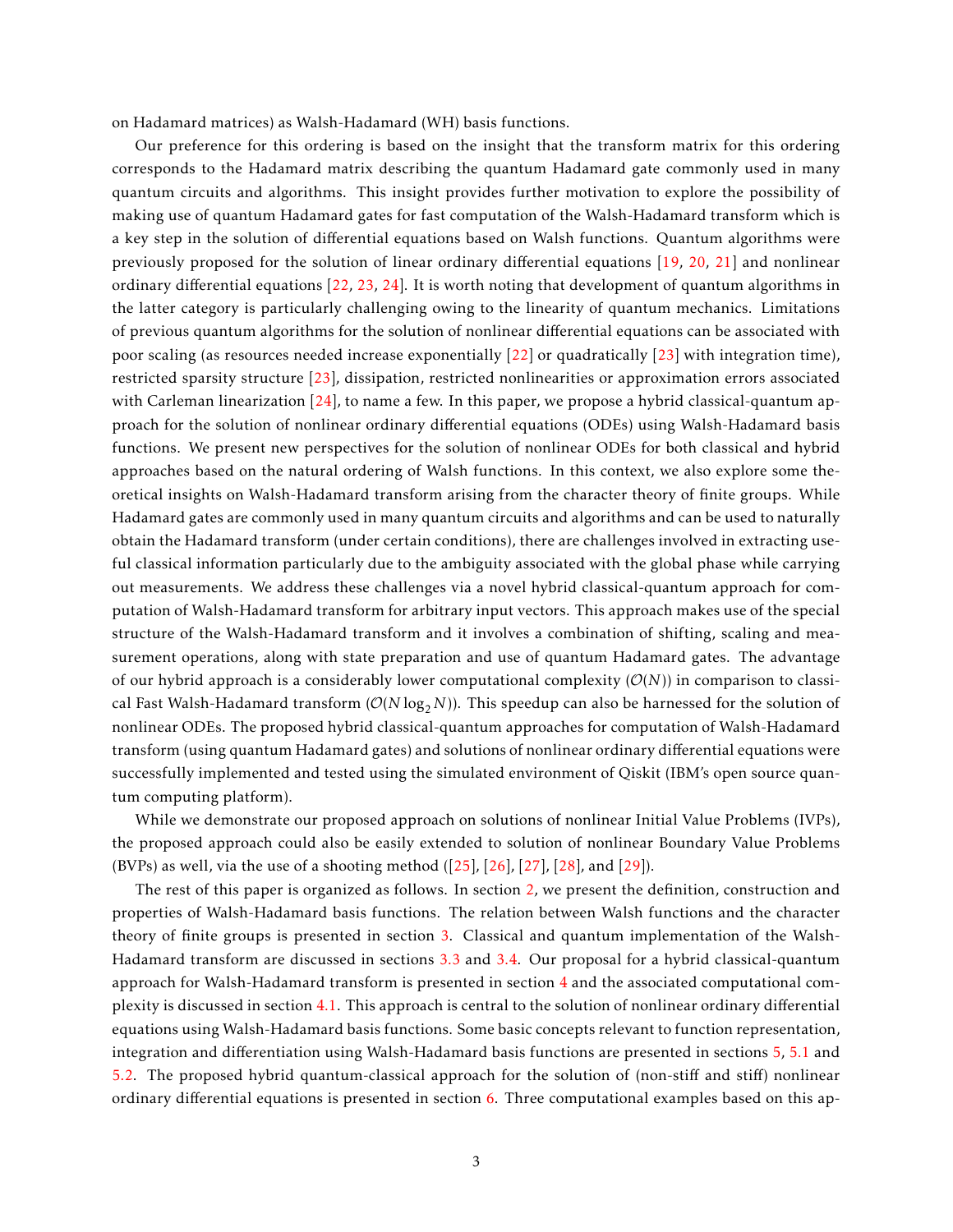on Hadamard matrices) as Walsh-Hadamard (WH) basis functions.

Our preference for this ordering is based on the insight that the transform matrix for this ordering corresponds to the Hadamard matrix describing the quantum Hadamard gate commonly used in many quantum circuits and algorithms. This insight provides further motivation to explore the possibility of making use of quantum Hadamard gates for fast computation of the Walsh-Hadamard transform which is a key step in the solution of differential equations based on Walsh functions. Quantum algorithms were previously proposed for the solution of linear ordinary differential equations [\[19,](#page-27-8) [20,](#page-27-9) [21\]](#page-27-10) and nonlinear ordinary differential equations [\[22,](#page-27-11) [23,](#page-27-12) [24\]](#page-27-13). It is worth noting that development of quantum algorithms in the latter category is particularly challenging owing to the linearity of quantum mechanics. Limitations of previous quantum algorithms for the solution of nonlinear differential equations can be associated with poor scaling (as resources needed increase exponentially [\[22\]](#page-27-11) or quadratically [\[23\]](#page-27-12) with integration time), restricted sparsity structure [\[23\]](#page-27-12), dissipation, restricted nonlinearities or approximation errors associated with Carleman linearization [\[24\]](#page-27-13), to name a few. In this paper, we propose a hybrid classical-quantum approach for the solution of nonlinear ordinary differential equations (ODEs) using Walsh-Hadamard basis functions. We present new perspectives for the solution of nonlinear ODEs for both classical and hybrid approaches based on the natural ordering of Walsh functions. In this context, we also explore some theoretical insights on Walsh-Hadamard transform arising from the character theory of finite groups. While Hadamard gates are commonly used in many quantum circuits and algorithms and can be used to naturally obtain the Hadamard transform (under certain conditions), there are challenges involved in extracting useful classical information particularly due to the ambiguity associated with the global phase while carrying out measurements. We address these challenges via a novel hybrid classical-quantum approach for computation of Walsh-Hadamard transform for arbitrary input vectors. This approach makes use of the special structure of the Walsh-Hadamard transform and it involves a combination of shifting, scaling and measurement operations, along with state preparation and use of quantum Hadamard gates. The advantage of our hybrid approach is a considerably lower computational complexity  $(\mathcal{O}(N))$  in comparison to classical Fast Walsh-Hadamard transform ( $\mathcal{O}(N \log_2 N)$ ). This speedup can also be harnessed for the solution of nonlinear ODEs. The proposed hybrid classical-quantum approaches for computation of Walsh-Hadamard transform (using quantum Hadamard gates) and solutions of nonlinear ordinary differential equations were successfully implemented and tested using the simulated environment of Qiskit (IBM's open source quantum computing platform).

While we demonstrate our proposed approach on solutions of nonlinear Initial Value Problems (IVPs), the proposed approach could also be easily extended to solution of nonlinear Boundary Value Problems (BVPs) as well, via the use of a shooting method  $(25)$ ,  $[26]$ ,  $[27]$ ,  $[28]$ , and  $[29]$ ).

The rest of this paper is organized as follows. In section [2,](#page-3-0) we present the definition, construction and properties of Walsh-Hadamard basis functions. The relation between Walsh functions and the character theory of finite groups is presented in section [3.](#page-3-1) Classical and quantum implementation of the Walsh-Hadamard transform are discussed in sections [3.3](#page-8-0) and [3.4.](#page-10-0) Our proposal for a hybrid classical-quantum approach for Walsh-Hadamard transform is presented in section [4](#page-10-1) and the associated computational complexity is discussed in section [4.1.](#page-12-0) This approach is central to the solution of nonlinear ordinary differential equations using Walsh-Hadamard basis functions. Some basic concepts relevant to function representation, integration and differentiation using Walsh-Hadamard basis functions are presented in sections [5,](#page-13-0) [5.1](#page-14-0) and [5.2.](#page-17-0) The proposed hybrid quantum-classical approach for the solution of (non-stiff and stiff) nonlinear ordinary differential equations is presented in section [6.](#page-17-1) Three computational examples based on this ap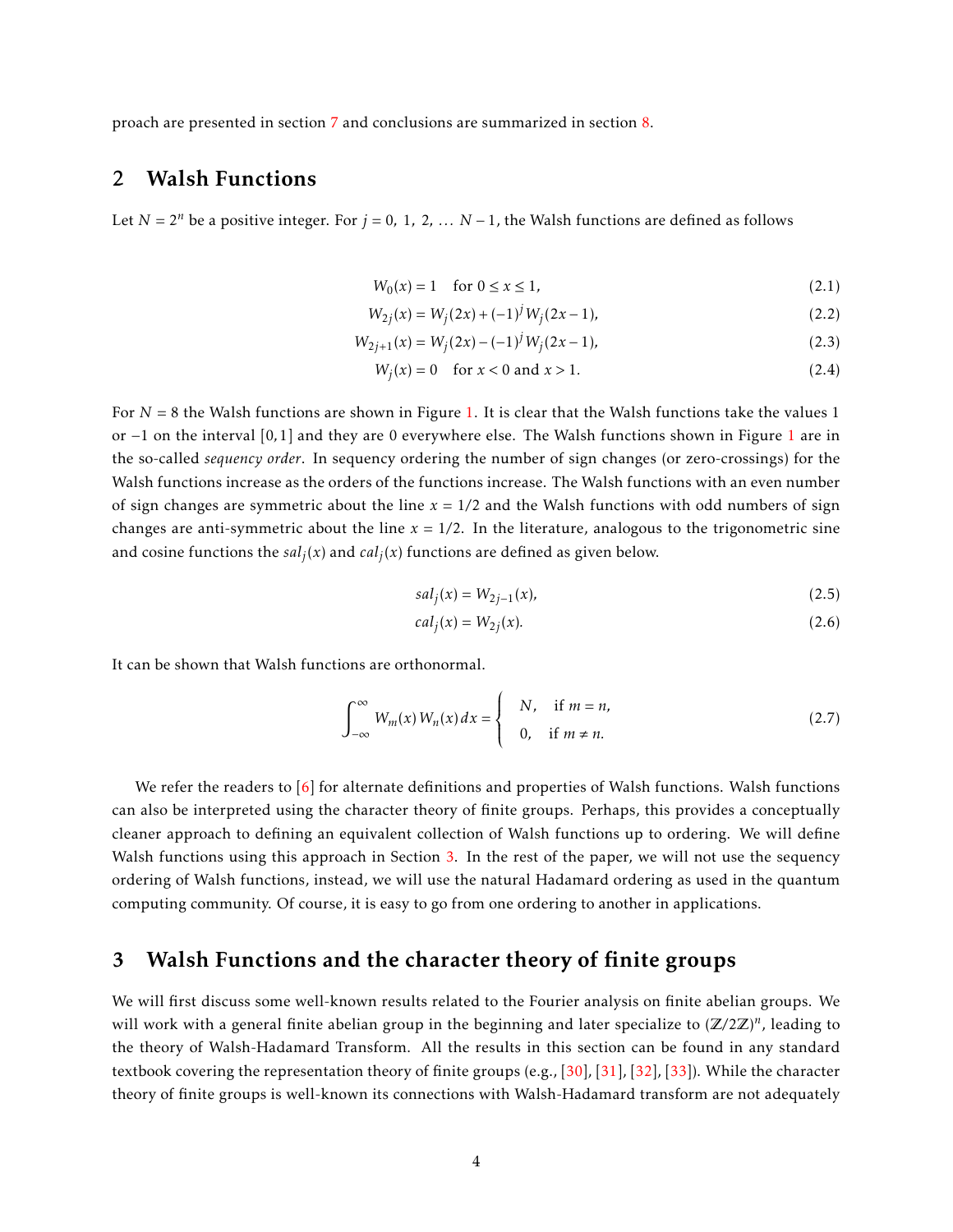proach are presented in section [7](#page-18-0) and conclusions are summarized in section [8.](#page-25-0)

## <span id="page-3-0"></span>2 Walsh Functions

Let  $N = 2^n$  be a positive integer. For  $j = 0, 1, 2, \ldots N - 1$ , the Walsh functions are defined as follows

$$
W_0(x) = 1 \quad \text{for } 0 \le x \le 1,\tag{2.1}
$$

$$
W_{2j}(x) = W_j(2x) + (-1)^j W_j(2x - 1),
$$
\n(2.2)

$$
W_{2j+1}(x) = W_j(2x) - (-1)^j W_j(2x - 1),
$$
\n(2.3)

$$
W_j(x) = 0 \quad \text{for } x < 0 \text{ and } x > 1. \tag{2.4}
$$

For  $N = 8$  the Walsh functions are shown in Figure [1.](#page-4-0) It is clear that the Walsh functions take the values 1 or −1 on the interval [0*,*1] and they are 0 everywhere else. The Walsh functions shown in Figure [1](#page-4-0) are in the so-called *sequency order*. In sequency ordering the number of sign changes (or zero-crossings) for the Walsh functions increase as the orders of the functions increase. The Walsh functions with an even number of sign changes are symmetric about the line  $x = 1/2$  and the Walsh functions with odd numbers of sign changes are anti-symmetric about the line  $x = 1/2$ . In the literature, analogous to the trigonometric sine and cosine functions the  $sal_j(x)$  and  $cal_j(x)$  functions are defined as given below.

$$
sal_j(x) = W_{2j-1}(x),
$$
\n(2.5)

$$
cal_j(x) = W_{2j}(x). \tag{2.6}
$$

It can be shown that Walsh functions are orthonormal.

$$
\int_{-\infty}^{\infty} W_m(x) W_n(x) dx = \begin{cases} N, & \text{if } m = n, \\ 0, & \text{if } m \neq n. \end{cases}
$$
 (2.7)

We refer the readers to  $\lceil 6 \rceil$  for alternate definitions and properties of Walsh functions. Walsh functions can also be interpreted using the character theory of finite groups. Perhaps, this provides a conceptually cleaner approach to defining an equivalent collection of Walsh functions up to ordering. We will define Walsh functions using this approach in Section [3.](#page-3-1) In the rest of the paper, we will not use the sequency ordering of Walsh functions, instead, we will use the natural Hadamard ordering as used in the quantum computing community. Of course, it is easy to go from one ordering to another in applications.

 $\overline{1}$ 

### <span id="page-3-1"></span>3 Walsh Functions and the character theory of finite groups

We will first discuss some well-known results related to the Fourier analysis on finite abelian groups. We will work with a general finite abelian group in the beginning and later specialize to  $(\mathbb{Z}/2\mathbb{Z})^n$ , leading to the theory of Walsh-Hadamard Transform. All the results in this section can be found in any standard textbook covering the representation theory of finite groups (e.g., [\[30\]](#page-28-2), [\[31\]](#page-28-3), [\[32\]](#page-28-4), [\[33\]](#page-28-5)). While the character theory of finite groups is well-known its connections with Walsh-Hadamard transform are not adequately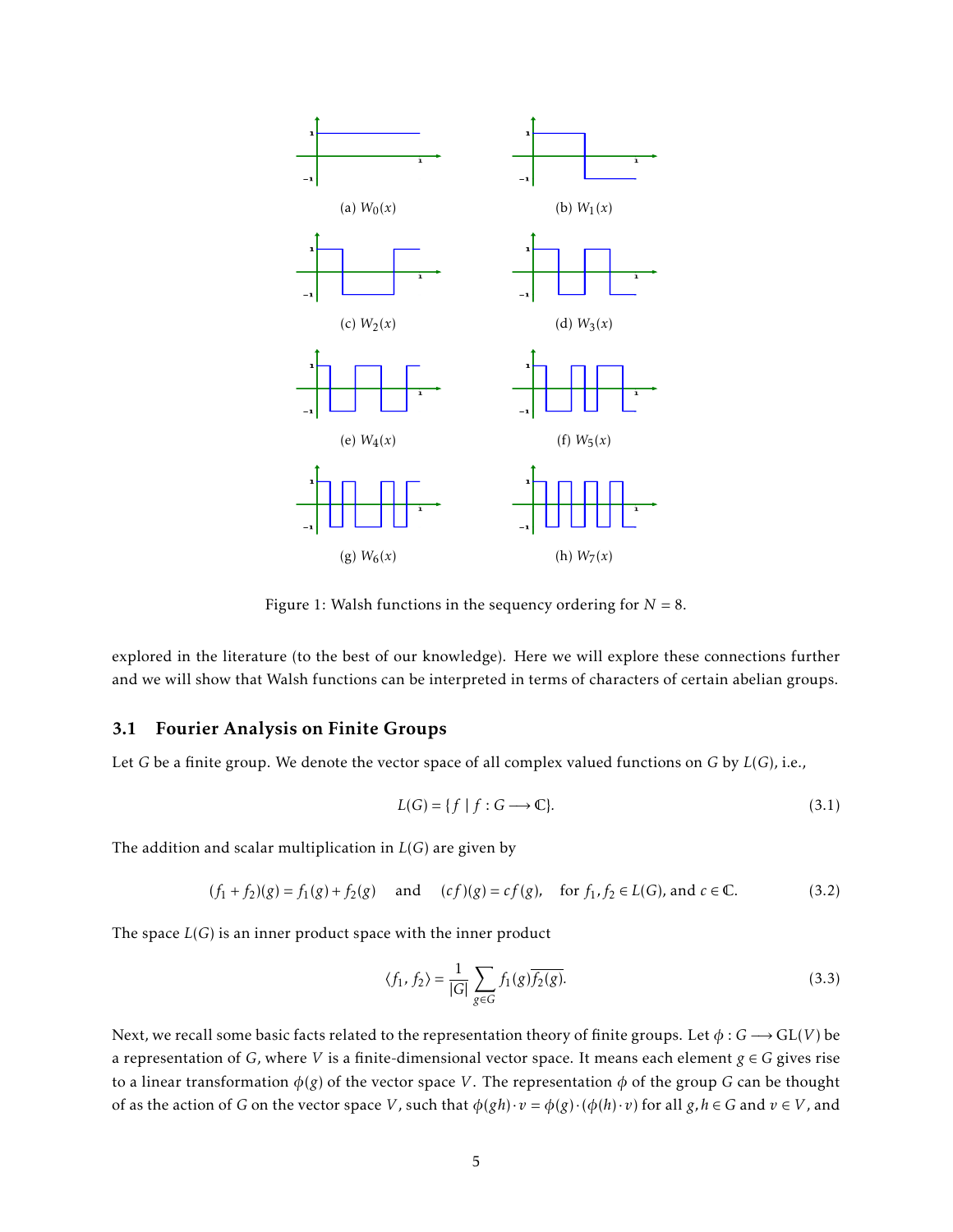<span id="page-4-0"></span>

Figure 1: Walsh functions in the sequency ordering for  $N = 8$ .

explored in the literature (to the best of our knowledge). Here we will explore these connections further and we will show that Walsh functions can be interpreted in terms of characters of certain abelian groups.

#### 3.1 Fourier Analysis on Finite Groups

Let *G* be a finite group. We denote the vector space of all complex valued functions on *G* by *L*(*G*), i.e.,

$$
L(G) = \{ f \mid f : G \longrightarrow \mathbb{C} \}. \tag{3.1}
$$

The addition and scalar multiplication in *L*(*G*) are given by

$$
(f_1 + f_2)(g) = f_1(g) + f_2(g) \quad \text{and} \quad (cf)(g) = cf(g), \quad \text{for } f_1, f_2 \in L(G), \text{ and } c \in \mathbb{C}.\tag{3.2}
$$

The space *L*(*G*) is an inner product space with the inner product

$$
\langle f_1, f_2 \rangle = \frac{1}{|G|} \sum_{g \in G} f_1(g) \overline{f_2(g)}.
$$
\n(3.3)

Next, we recall some basic facts related to the representation theory of finite groups. Let  $\phi$  :  $G \longrightarrow GL(V)$  be a representation of *G*, where *V* is a finite-dimensional vector space. It means each element  $g \in G$  gives rise to a linear transformation *φ*(*g*) of the vector space *V* . The representation *φ* of the group *G* can be thought of as the action of *G* on the vector space *V*, such that  $\phi(gh) \cdot v = \phi(g) \cdot (\phi(h) \cdot v)$  for all  $g, h \in G$  and  $v \in V$ , and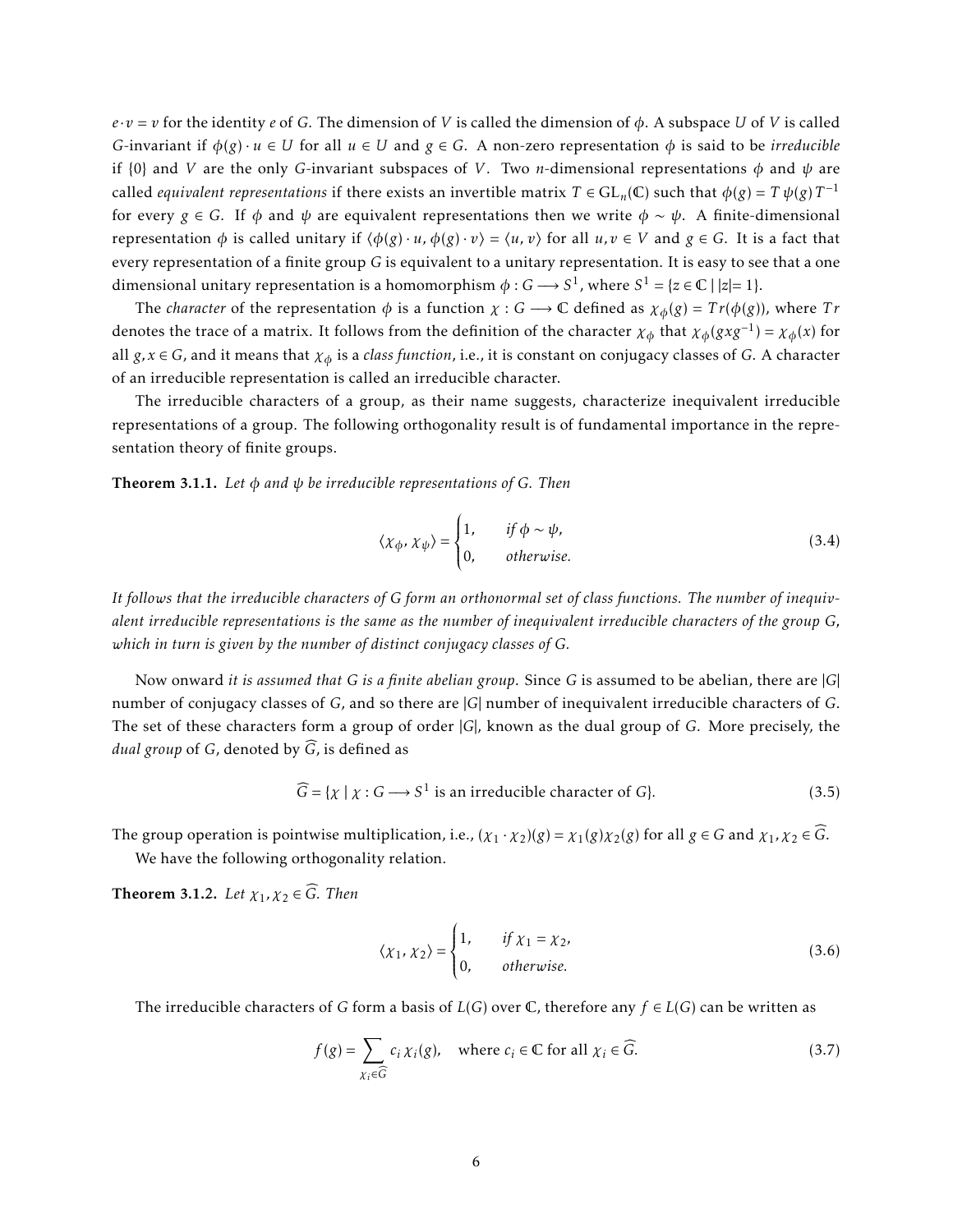$e \cdot v = v$  for the identity *e* of *G*. The dimension of *V* is called the dimension of  $\phi$ . A subspace *U* of *V* is called *G*-invariant if  $\phi(g) \cdot u \in U$  for all  $u \in U$  and  $g \in G$ . A non-zero representation  $\phi$  is said to be *irreducible* if {0} and *V* are the only *G*-invariant subspaces of *V* . Two *n*-dimensional representations *φ* and *ψ* are called *equivalent representations* if there exists an invertible matrix  $T \in \mathrm{GL}_n(\mathbb{C})$  such that  $\phi(g) = T\,\psi(g)\,T^{-1}$ for every *g* ∈ *G*. If  $\phi$  and  $\psi$  are equivalent representations then we write  $\phi \sim \psi$ . A finite-dimensional representation  $\phi$  is called unitary if  $\langle \phi(g) \cdot u, \phi(g) \cdot v \rangle = \langle u, v \rangle$  for all  $u, v \in V$  and  $g \in G$ . It is a fact that every representation of a finite group *G* is equivalent to a unitary representation. It is easy to see that a one dimensional unitary representation is a homomorphism  $\phi : G \longrightarrow S^1$ , where  $S^1 = \{z \in \mathbb{C} \mid |z| = 1\}.$ 

The *character* of the representation  $\phi$  is a function  $\chi$  :  $G \rightarrow \mathbb{C}$  defined as  $\chi_{\phi}(g) = Tr(\phi(g))$ , where  $Tr$ denotes the trace of a matrix. It follows from the definition of the character  $\chi_{\phi}$  that  $\chi_{\phi}(gxg^{-1}) = \chi_{\phi}(x)$  for all *g, x* ∈ *G*, and it means that *χ<sup>φ</sup>* is a *class function*, i.e., it is constant on conjugacy classes of *G*. A character of an irreducible representation is called an irreducible character.

The irreducible characters of a group, as their name suggests, characterize inequivalent irreducible representations of a group. The following orthogonality result is of fundamental importance in the representation theory of finite groups.

Theorem 3.1.1. *Let φ and ψ be irreducible representations of G. Then*

$$
\langle \chi_{\phi}, \chi_{\psi} \rangle = \begin{cases} 1, & \text{if } \phi \sim \psi, \\ 0, & \text{otherwise.} \end{cases} \tag{3.4}
$$

*It follows that the irreducible characters of G form an orthonormal set of class functions. The number of inequivalent irreducible representations is the same as the number of inequivalent irreducible characters of the group G, which in turn is given by the number of distinct conjugacy classes of G.*

Now onward *it is assumed that G is a finite abelian group*. Since *G* is assumed to be abelian, there are |*G*| number of conjugacy classes of *G*, and so there are |*G*| number of inequivalent irreducible characters of *G*. The set of these characters form a group of order |*G*|, known as the dual group of *G*. More precisely, the *dual group* of *G*, denoted by  $\widehat{G}$ , is defined as

$$
\widehat{G} = \{ \chi \mid \chi : G \longrightarrow S^1 \text{ is an irreducible character of } G \}. \tag{3.5}
$$

The group operation is pointwise multiplication, i.e.,  $(\chi_1 \cdot \chi_2)(g) = \chi_1(g)\chi_2(g)$  for all  $g \in G$  and  $\chi_1, \chi_2 \in \widehat{G}$ .

We have the following orthogonality relation.

<span id="page-5-0"></span>**Theorem 3.1.2.** Let  $\chi_1, \chi_2 \in \widehat{G}$ . Then

$$
\langle \chi_1, \chi_2 \rangle = \begin{cases} 1, & \text{if } \chi_1 = \chi_2, \\ 0, & \text{otherwise.} \end{cases} \tag{3.6}
$$

The irreducible characters of *G* form a basis of *L*(*G*) over  $\mathbb{C}$ , therefore any  $f \in L(G)$  can be written as

$$
f(g) = \sum_{\chi_i \in \widehat{G}} c_i \chi_i(g), \quad \text{where } c_i \in \mathbb{C} \text{ for all } \chi_i \in \widehat{G}. \tag{3.7}
$$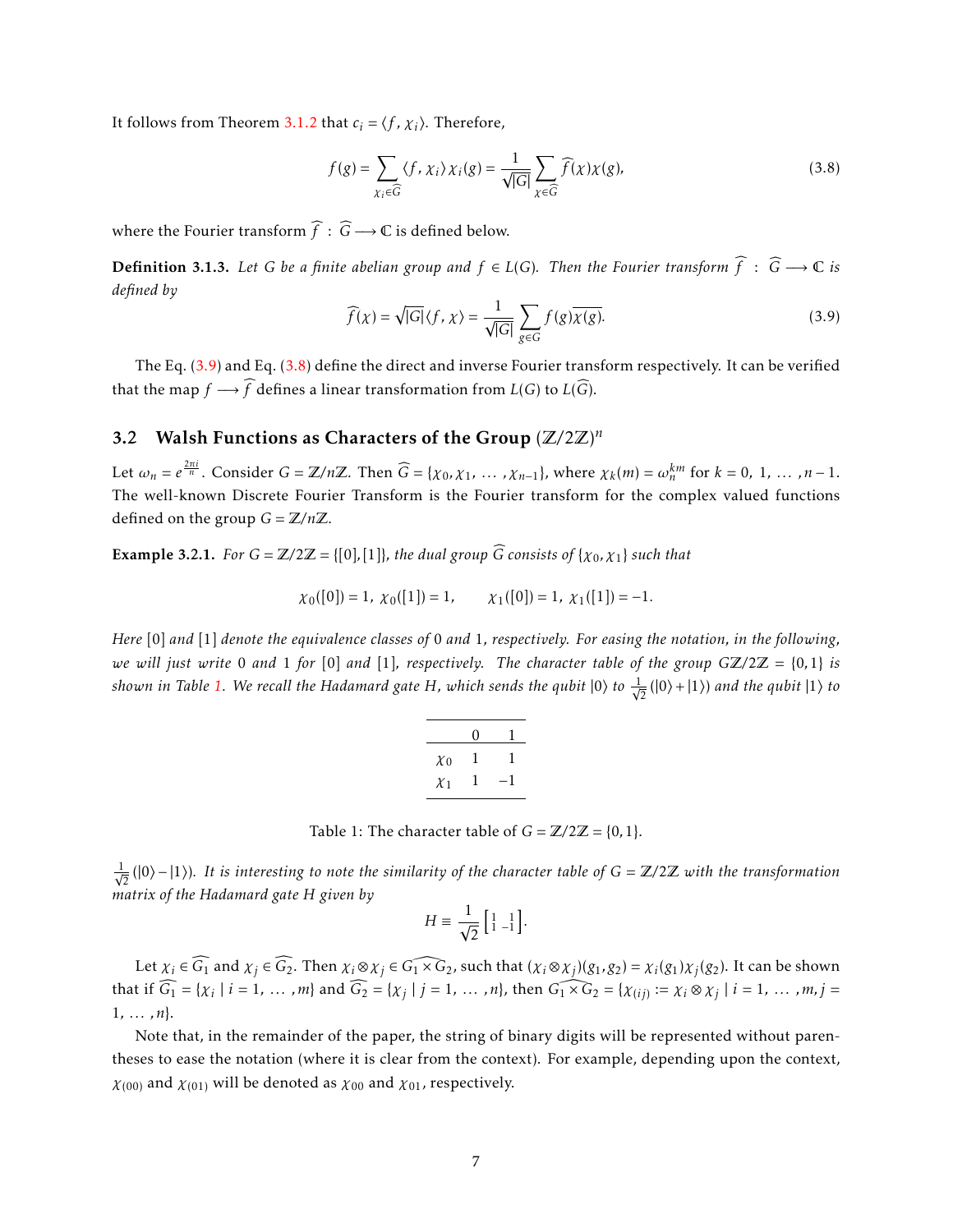It follows from Theorem [3.1.2](#page-5-0) that  $c_i = \langle f, \chi_i \rangle$ . Therefore,

<span id="page-6-1"></span>
$$
f(g) = \sum_{\chi_i \in \widehat{G}} \langle f, \chi_i \rangle \chi_i(g) = \frac{1}{\sqrt{|G|}} \sum_{\chi \in \widehat{G}} \widehat{f}(\chi) \chi(g), \tag{3.8}
$$

where the Fourier transform  $\widehat{f}:\,\widehat{G}\longrightarrow\mathbb{C}$  is defined below.

<span id="page-6-3"></span>**Definition 3.1.3.** Let *G* be a finite abelian group and  $f$  ∈ *L*(*G*)*.* Then the Fourier transform  $\widehat{f}$  :  $\widehat{G}$  →  $\mathbb{C}$  *is defined by*

<span id="page-6-0"></span>
$$
\widehat{f}(\chi) = \sqrt{|G|} \langle f, \chi \rangle = \frac{1}{\sqrt{|G|}} \sum_{g \in G} f(g) \overline{\chi(g)}.
$$
\n(3.9)

The Eq. [\(3.9\)](#page-6-0) and Eq. [\(3.8\)](#page-6-1) define the direct and inverse Fourier transform respectively. It can be verified that the map *f*  $\longrightarrow \widehat{f}$  defines a linear transformation from *L*(*G*) to *L*( $\widehat{G}$ ).

## 3.2 Walsh Functions as Characters of the Group (Z*/*2Z) *n*

Let  $\omega_n = e^{\frac{2\pi i}{n}}$ . Consider  $G = \mathbb{Z}/n\mathbb{Z}$ . Then  $\widehat{G} = \{ \chi_0, \chi_1, \ldots, \chi_{n-1} \}$ , where  $\chi_k(m) = \omega_n^{km}$  for  $k = 0, 1, \ldots, n-1$ . The well-known Discrete Fourier Transform is the Fourier transform for the complex valued functions defined on the group  $G = \mathbb{Z}/n\mathbb{Z}$ .

**Example 3.2.1.** *For*  $G = \mathbb{Z}/2\mathbb{Z} = \{ [0], [1] \}$ *, the dual group*  $\widehat{G}$  *consists of* {*x*<sub>0</sub>*, x*<sub>1</sub>} *such that* 

$$
\chi_0([0]) = 1
$$
,  $\chi_0([1]) = 1$ ,  $\chi_1([0]) = 1$ ,  $\chi_1([1]) = -1$ .

<span id="page-6-2"></span>*Here* [0] *and* [1] *denote the equivalence classes of* 0 *and* 1*, respectively. For easing the notation, in the following, we will just write* 0 *and* 1 *for* [0] *and* [1]*, respectively. The character table of the group*  $G\mathbb{Z}/2\mathbb{Z} = \{0,1\}$  *is shown in Table [1.](#page-6-2) We recall the Hadamard gate H, which sends the qubit*  $|0\rangle$  *to*  $\frac{1}{\sqrt{2}}$  $\frac{1}{2}$ (|0) + |1)) and the qubit  $|1\rangle$  to

| 0 |
|---|
| ŧ |
| 1 |
|   |

Table 1: The character table of  $G = \mathbb{Z}/2\mathbb{Z} = \{0, 1\}.$ 

 $\frac{1}{\sqrt{2}}$ 2 (|0i − |1i)*. It is interesting to note the similarity of the character table of G* = Z*/*2Z *with the transformation matrix of the Hadamard gate H given by*

$$
H \equiv \frac{1}{\sqrt{2}} \left[ \begin{smallmatrix} 1 & 1 \\ 1 & -1 \end{smallmatrix} \right].
$$

Let  $\chi_i \in \widehat{G_1}$  and  $\chi_j \in \widehat{G_2}$ . Then  $\chi_i \otimes \chi_j \in \widehat{G_1 \times G_2}$ , such that  $(\chi_i \otimes \chi_j)(g_1, g_2) = \chi_i(g_1)\chi_j(g_2)$ . It can be shown that if  $\widehat{G_1} = \{ \chi_i \mid i = 1, ..., m \}$  and  $\widehat{G_2} = \{ \chi_j \mid j = 1, ..., n \}$ , then  $\widehat{G_1 \times G_2} = \{ \chi_{(ij)} := \chi_i \otimes \chi_j \mid i = 1, ..., m, j = 1, \ldots, m \}$ 1*, ... ,n*}.

Note that, in the remainder of the paper, the string of binary digits will be represented without parentheses to ease the notation (where it is clear from the context). For example, depending upon the context,  $\chi_{(00)}$  and  $\chi_{(01)}$  will be denoted as  $\chi_{00}$  and  $\chi_{01}$ , respectively.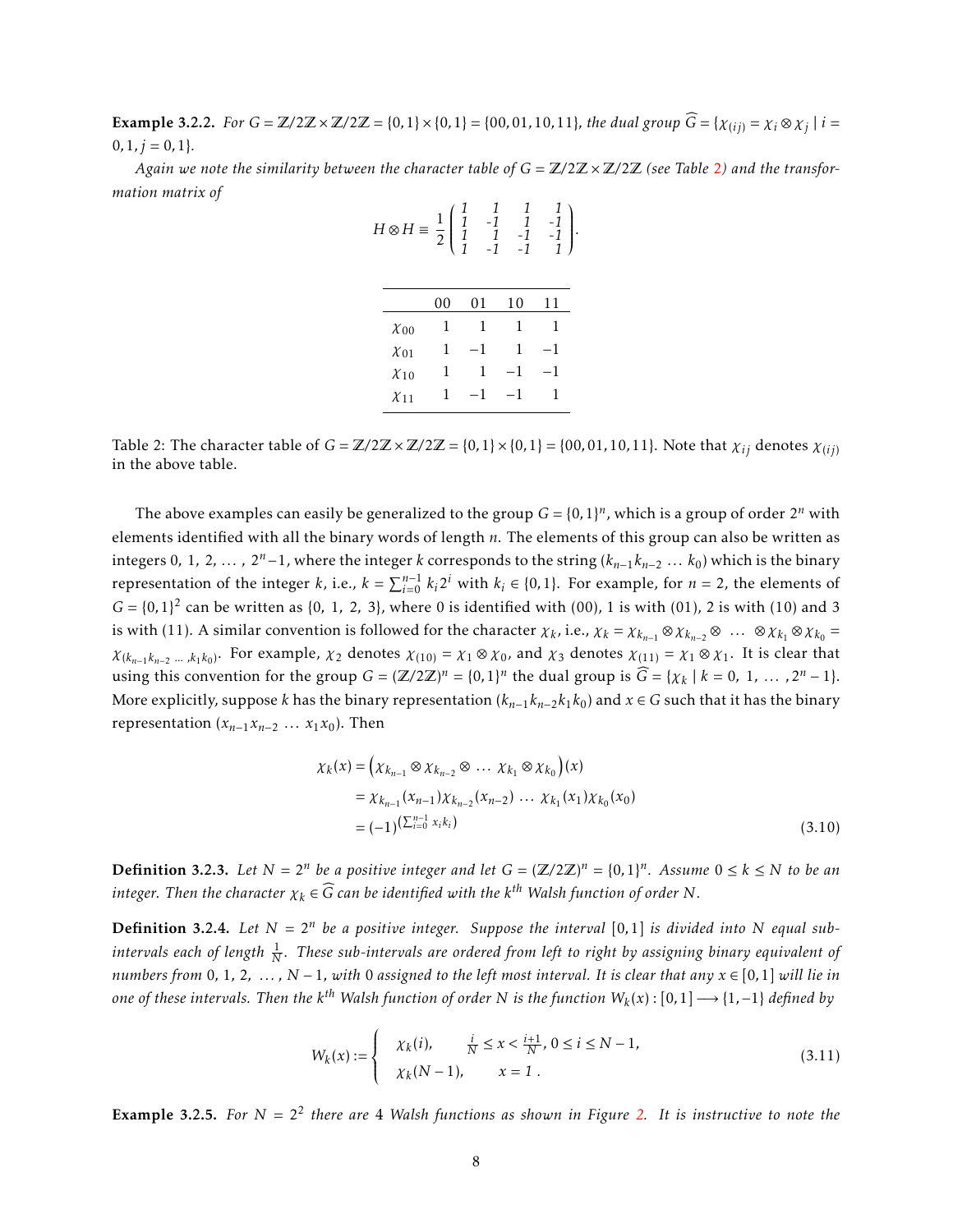**Example 3.2.2.** For  $G = \mathbb{Z}/2\mathbb{Z} \times \mathbb{Z}/2\mathbb{Z} = \{0,1\} \times \{0,1\} = \{00,01,10,11\}$ , the dual group  $\widehat{G} = \{ \chi_{(ij)} = \chi_i \otimes \chi_j \mid i = 1,2,3,4,5\}$  $0, 1, j = 0, 1$ }.

<span id="page-7-0"></span>*Again we note the similarity between the character table of*  $G = \mathbb{Z}/2\mathbb{Z} \times \mathbb{Z}/2\mathbb{Z}$  $G = \mathbb{Z}/2\mathbb{Z} \times \mathbb{Z}/2\mathbb{Z}$  $G = \mathbb{Z}/2\mathbb{Z} \times \mathbb{Z}/2\mathbb{Z}$  (see Table 2) and the transfor*mation matrix of*

*1 1 1 1*

 $\overline{\phantom{a}}$ 

*.*

| $H \otimes H \equiv \frac{1}{2}$ |    | $\frac{1}{1}$ | $\frac{-1}{-1}$ |    |
|----------------------------------|----|---------------|-----------------|----|
|                                  | 00 | 01            | 10              | 11 |
| $\chi_{00}$                      | 1  | 1             | 1               | 1  |
| $\chi_{01}$                      | 1  | 1             | 1               | 1  |
| $\chi_{10}$                      | 1  | 1             | 1               | 1  |
| $\chi_{11}$                      | 1  |               |                 |    |

Table 2: The character table of  $G = \mathbb{Z}/2\mathbb{Z} \times \mathbb{Z}/2\mathbb{Z} = \{0,1\} \times \{0,1\} = \{00,01,10,11\}$ . Note that  $\chi_{ij}$  denotes  $\chi_{(ij)}$ in the above table.

The above examples can easily be generalized to the group  $G = \{0, 1\}^n$ , which is a group of order  $2^n$  with elements identified with all the binary words of length *n*. The elements of this group can also be written as integers 0, 1, 2, ... ,  $2^{n}-1$ , where the integer *k* corresponds to the string  $(k_{n-1}k_{n-2}...k_0)$  which is the binary representation of the integer *k*, i.e.,  $k = \sum_{i=0}^{n-1} k_i 2^i$  with  $k_i \in \{0,1\}$ . For example, for  $n = 2$ , the elements of  $G = \{0, 1\}^2$  can be written as  $\{0, 1, 2, 3\}$ , where 0 is identified with  $(00)$ , 1 is with  $(01)$ , 2 is with  $(10)$  and 3 is with (11). A similar convention is followed for the character  $\chi_k$ , i.e.,  $\chi_k = \chi_{k_{n-1}} \otimes \chi_{k_{n-2}} \otimes \dots \otimes \chi_{k_1} \otimes \chi_{k_0} =$  $\chi_{(k_{n-1}k_{n-2}, \ldots, k_1k_0)}$ . For example,  $\chi_2$  denotes  $\chi_{(10)} = \chi_1 \otimes \chi_0$ , and  $\chi_3$  denotes  $\chi_{(11)} = \chi_1 \otimes \chi_1$ . It is clear that using this convention for the group  $G = (\mathbb{Z}/2\mathbb{Z})^n = \{0,1\}^n$  the dual group is  $\widehat{G} = \{\chi_k \mid k = 0, 1, ..., 2^n - 1\}.$ More explicitly, suppose *k* has the binary representation  $(k_{n-1}k_{n-2}k_1k_0)$  and  $x \in G$  such that it has the binary representation  $(x_{n-1}x_{n-2} \ldots x_1x_0)$ . Then

<span id="page-7-2"></span>
$$
\chi_k(x) = \left(\chi_{k_{n-1}} \otimes \chi_{k_{n-2}} \otimes \dots \chi_{k_1} \otimes \chi_{k_0}\right)(x)
$$
  
=  $\chi_{k_{n-1}}(\chi_{n-1}) \chi_{k_{n-2}}(\chi_{n-2}) \dots \chi_{k_1}(\chi_1) \chi_{k_0}(\chi_0)$   
=  $(-1)^{\left(\sum_{i=0}^{n-1} x_i k_i\right)}$  (3.10)

**Definition 3.2.3.** Let  $N = 2^n$  be a positive integer and let  $G = (\mathbb{Z}/2\mathbb{Z})^n = \{0,1\}^n$ . Assume  $0 \le k \le N$  to be an  $i$  *integer. Then the character*  $\chi_k \in \widehat{G}$  *can be identified with the k<sup>th</sup> Walsh function of order*  $N$ *.* 

**Definition 3.2.4.** Let  $N = 2^n$  be a positive integer. Suppose the interval [0,1] is divided into N equal subintervals each of length  $\frac{1}{N}.$  These sub-intervals are ordered from left to right by assigning binary equivalent of *numbers from* 0, 1, 2,  $\dots$ ,  $N-1$ , with 0 assigned to the left most interval. It is clear that any  $x \in [0,1]$  will lie in  $\phi$  *one of these intervals. Then the k* $^{th}$  *Walsh function of order*  $N$  *is the function*  $W_k(x)$  *:*  $[0,1]\longrightarrow\{1,-1\}$  *defined by* 

<span id="page-7-1"></span>
$$
W_k(x) := \begin{cases} \begin{array}{c} \chi_k(i), & \frac{i}{N} \le x < \frac{i+1}{N}, \ 0 \le i \le N-1, \\ \chi_k(N-1), & x = 1 \end{array} \end{cases} \tag{3.11}
$$

**Example 3.[2.](#page-8-1)5.** For  $N = 2^2$  there are 4 Walsh functions as shown in Figure 2. It is instructive to note the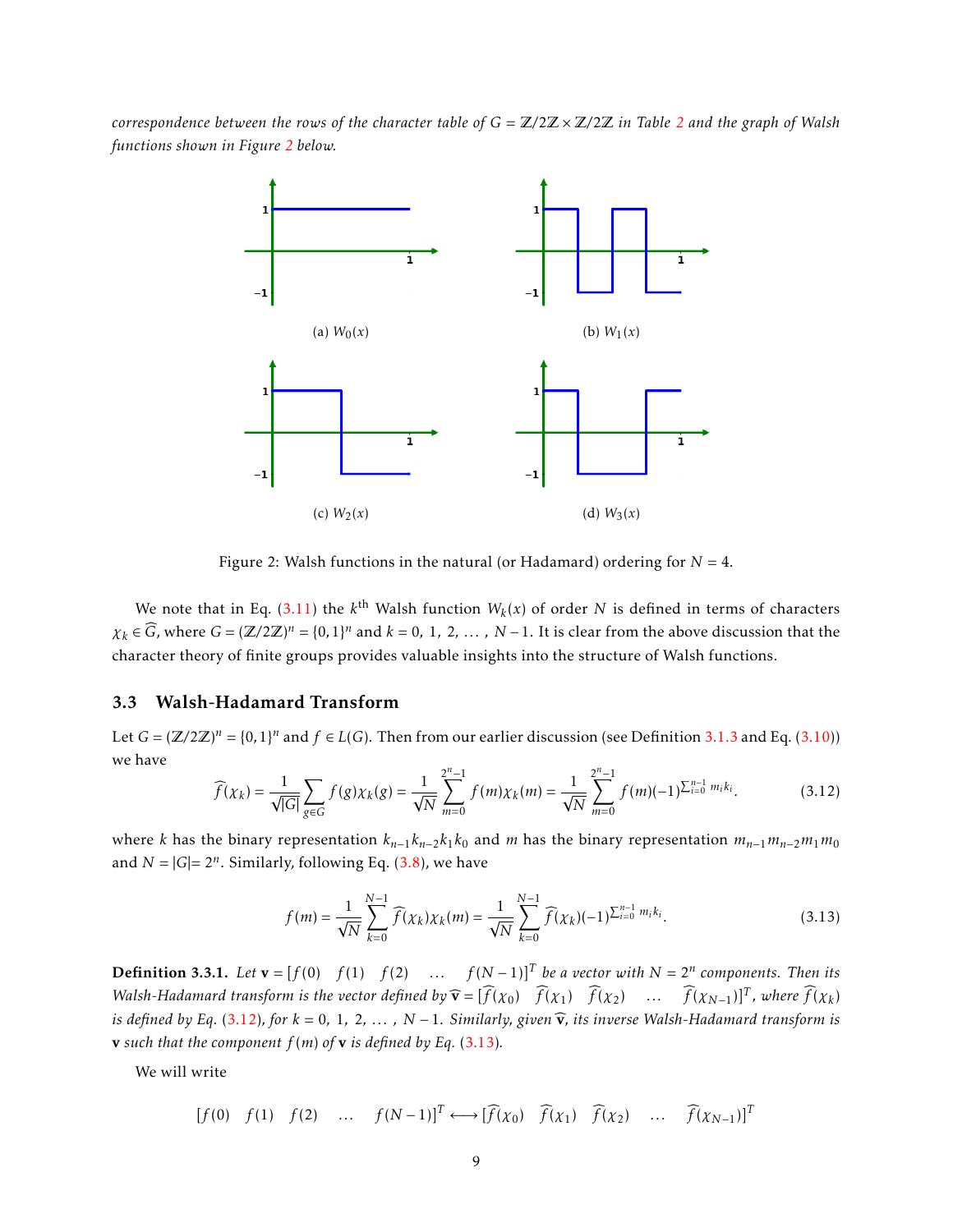<span id="page-8-1"></span>*correspondence between the rows of the character table of G* = Z*/*2Z × Z*/*2Z *in Table [2](#page-7-0) and the graph of Walsh functions shown in Figure [2](#page-8-1) below.*



Figure 2: Walsh functions in the natural (or Hadamard) ordering for  $N = 4$ .

We note that in Eq. [\(3.11\)](#page-7-1) the  $k^{\text{th}}$  Walsh function  $W_k(x)$  of order N is defined in terms of characters  $\chi_k \in \widehat{G}$ , where  $G = (\mathbb{Z}/2\mathbb{Z})^n = \{0,1\}^n$  and  $k = 0, 1, 2, ..., N-1$ . It is clear from the above discussion that the character theory of finite groups provides valuable insights into the structure of Walsh functions.

#### <span id="page-8-0"></span>3.3 Walsh-Hadamard Transform

Let  $G = (\mathbb{Z}/2\mathbb{Z})^n = \{0,1\}^n$  and  $f \in L(G)$ . Then from our earlier discussion (see Definition [3.1.3](#page-6-3) and Eq. [\(3.10\)](#page-7-2)) we have

<span id="page-8-2"></span>
$$
\widehat{f}(\chi_k) = \frac{1}{\sqrt{|G|}} \sum_{g \in G} f(g) \chi_k(g) = \frac{1}{\sqrt{N}} \sum_{m=0}^{2^n - 1} f(m) \chi_k(m) = \frac{1}{\sqrt{N}} \sum_{m=0}^{2^n - 1} f(m) (-1)^{\sum_{i=0}^{n-1} m_i k_i}.
$$
 (3.12)

where *k* has the binary representation  $k_{n-1}k_{n-2}k_1k_0$  and *m* has the binary representation  $m_{n-1}m_{n-2}m_1m_0$ and  $N = |G| = 2^n$ . Similarly, following Eq.  $(3.8)$ , we have

<span id="page-8-3"></span>
$$
f(m) = \frac{1}{\sqrt{N}} \sum_{k=0}^{N-1} \widehat{f}(\chi_k) \chi_k(m) = \frac{1}{\sqrt{N}} \sum_{k=0}^{N-1} \widehat{f}(\chi_k) (-1)^{\sum_{i=0}^{n-1} m_i k_i}.
$$
 (3.13)

**Definition 3.3.1.** Let  $\mathbf{v} = [f(0) \quad f(1) \quad f(2) \quad \dots \quad f(N-1)]^T$  be a vector with  $N = 2^n$  components. Then its *Walsh-Hadamard transform is the vector defined by*  $\widehat{\mathbf{v}} = [\widehat{f}(x_0) \ \widehat{f}(x_1) \ \widehat{f}(x_2) \ \dots \ \widehat{f}(x_{N-1})]^T$ , where  $\widehat{f}(x_k)$ *is defined by Eq.* [\(3.12\)](#page-8-2), for  $k = 0, 1, 2, ..., N - 1$ . Similarly, given  $\hat{v}$ , its inverse Walsh-Hadamard transform is **v** such that the component  $f(m)$  of **v** is defined by Eq. [\(3.13\)](#page-8-3).

We will write

 $[f(0) f(1) f(2)$  *...*  $f(N-1)$ <sup>T</sup> ←→  $[f(x_0) f(x_1) f(x_2)$  *...*  $\widehat{f}(x_{N-1})$ <sup>T</sup>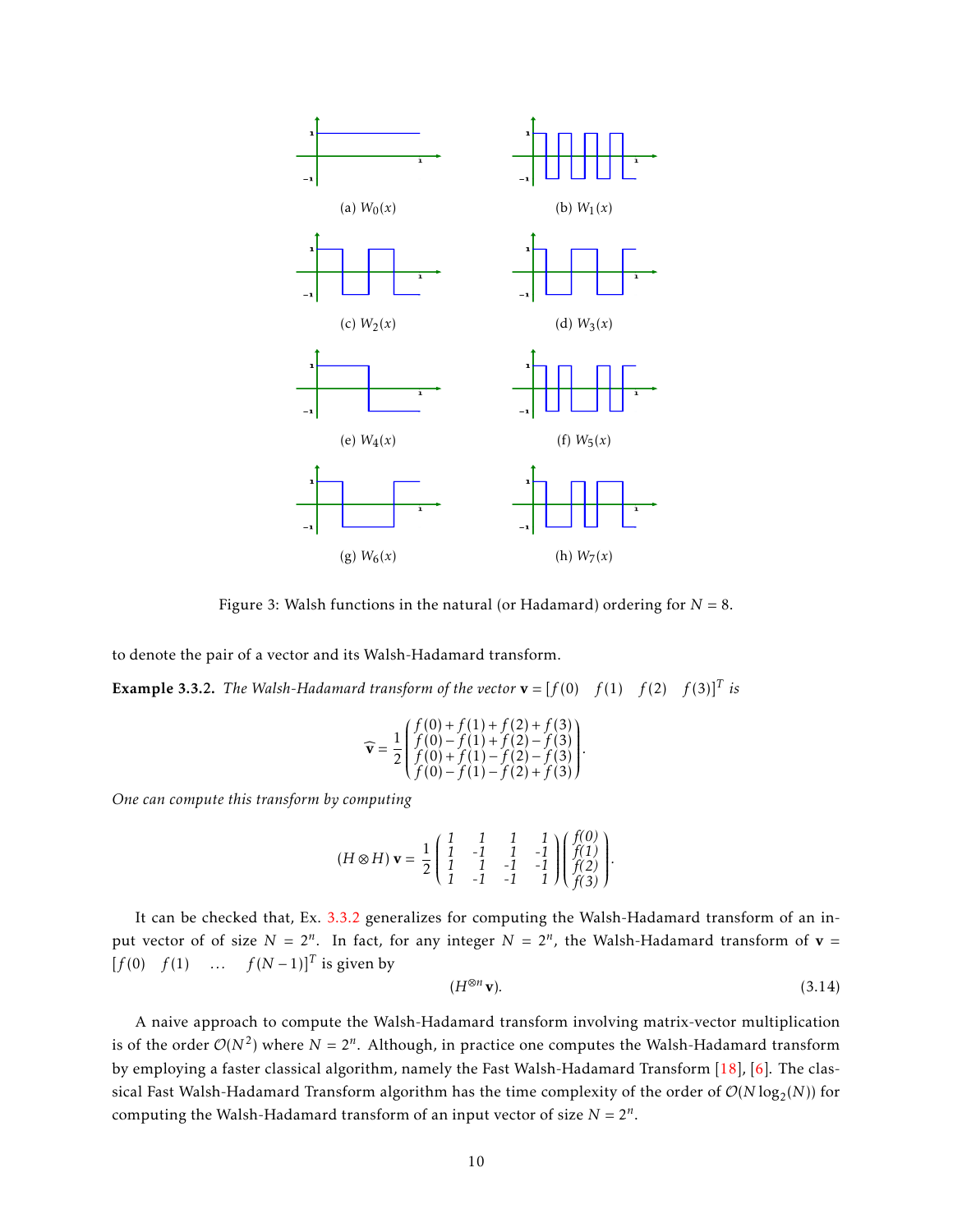

Figure 3: Walsh functions in the natural (or Hadamard) ordering for  $N = 8$ .

to denote the pair of a vector and its Walsh-Hadamard transform.

<span id="page-9-0"></span>**Example 3.3.2.** The Walsh-Hadamard transform of the vector  $\mathbf{v} = [f(0) \quad f(1) \quad f(2) \quad f(3)]^T$  is

$$
\widehat{\mathbf{v}} = \frac{1}{2} \begin{pmatrix} f(0) + f(1) + f(2) + f(3) \\ f(0) - f(1) + f(2) - f(3) \\ f(0) + f(1) - f(2) - f(3) \\ f(0) - f(1) - f(2) + f(3) \end{pmatrix}
$$

*One can compute this transform by computing*

$$
(H \otimes H) \mathbf{v} = \frac{1}{2} \begin{pmatrix} 1 & 1 & 1 & 1 \\ 1 & -1 & 1 & -1 \\ 1 & 1 & -1 & -1 \\ 1 & -1 & -1 & 1 \end{pmatrix} \begin{pmatrix} f(0) \\ f(1) \\ f(2) \\ f(3) \end{pmatrix}.
$$

It can be checked that, Ex. [3.3.2](#page-9-0) generalizes for computing the Walsh-Hadamard transform of an input vector of of size  $N = 2^n$ . In fact, for any integer  $N = 2^n$ , the Walsh-Hadamard transform of  $v =$  $[f(0) f(1) ... f(N-1)]^T$  is given by

$$
(H^{\otimes n}\mathbf{v}).\tag{3.14}
$$

*.*

A naive approach to compute the Walsh-Hadamard transform involving matrix-vector multiplication is of the order  $O(N^2)$  where  $N = 2^n$ . Although, in practice one computes the Walsh-Hadamard transform by employing a faster classical algorithm, namely the Fast Walsh-Hadamard Transform [\[18\]](#page-27-7), [\[6\]](#page-26-5). The classical Fast Walsh-Hadamard Transform algorithm has the time complexity of the order of  $\mathcal{O}(N\log_2(N))$  for computing the Walsh-Hadamard transform of an input vector of size  $N = 2^n$ .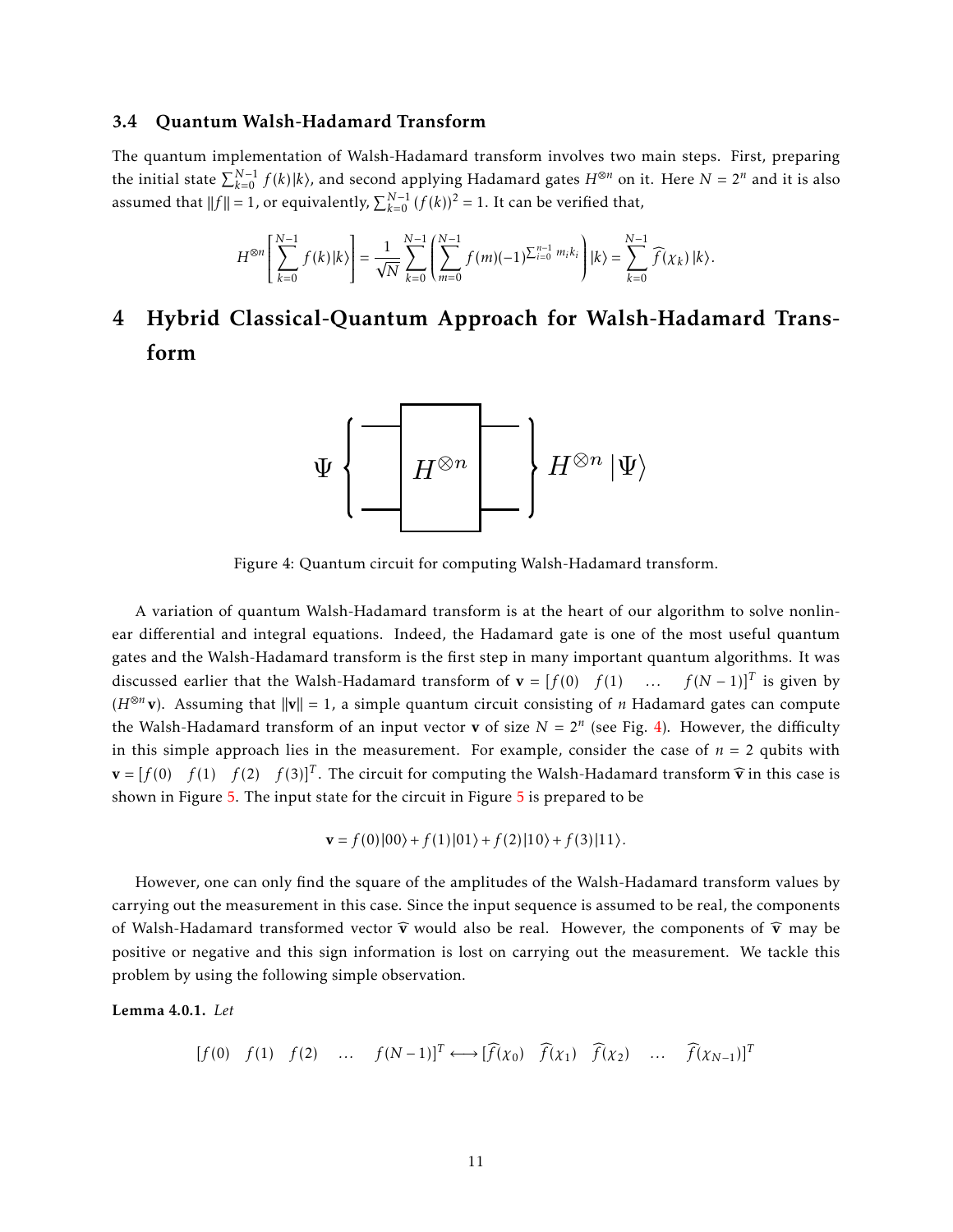#### <span id="page-10-0"></span>3.4 Quantum Walsh-Hadamard Transform

The quantum implementation of Walsh-Hadamard transform involves two main steps. First, preparing the initial state  $\sum_{k=0}^{N-1} f(k) |k\rangle$ , and second applying Hadamard gates  $H^{\otimes n}$  on it. Here  $N = 2^n$  and it is also assumed that  $||f|| = 1$ , or equivalently,  $\sum_{k=0}^{N-1} (f(k))^2 = 1$ . It can be verified that,

$$
H^{\otimes n}\left[\sum_{k=0}^{N-1}f(k)|k\rangle\right]=\frac{1}{\sqrt{N}}\sum_{k=0}^{N-1}\left(\sum_{m=0}^{N-1}f(m)(-1)^{\sum_{i=0}^{n-1}m_ik_i}\right)|k\rangle=\sum_{k=0}^{N-1}\widehat{f}(\chi_k)\,|k\rangle.
$$

## <span id="page-10-2"></span><span id="page-10-1"></span>4 Hybrid Classical-Quantum Approach for Walsh-Hadamard Transform



Figure 4: Quantum circuit for computing Walsh-Hadamard transform.

A variation of quantum Walsh-Hadamard transform is at the heart of our algorithm to solve nonlinear differential and integral equations. Indeed, the Hadamard gate is one of the most useful quantum gates and the Walsh-Hadamard transform is the first step in many important quantum algorithms. It was discussed earlier that the Walsh-Hadamard transform of  $\mathbf{v} = [f(0) \quad f(1) \quad \dots \quad f(N-1)]^T$  is given by ( $H^{\otimes n}$ **v**). Assuming that  $||\mathbf{v}|| = 1$ , a simple quantum circuit consisting of *n* Hadamard gates can compute the Walsh-Hadamard transform of an input vector **v** of size  $N = 2^n$  (see Fig. [4\)](#page-10-2). However, the difficulty in this simple approach lies in the measurement. For example, consider the case of  $n = 2$  qubits with  $\mathbf{v} = [f(0) \quad f(1) \quad f(2) \quad f(3)]^T$ . The circuit for computing the Walsh-Hadamard transform  $\widehat{\mathbf{v}}$  in this case is shown in Figure [5.](#page-11-0) The input state for the circuit in Figure [5](#page-11-0) is prepared to be

$$
\mathbf{v} = f(0)|00\rangle + f(1)|01\rangle + f(2)|10\rangle + f(3)|11\rangle.
$$

However, one can only find the square of the amplitudes of the Walsh-Hadamard transform values by carrying out the measurement in this case. Since the input sequence is assumed to be real, the components of Walsh-Hadamard transformed vector  $\hat{v}$  would also be real. However, the components of  $\hat{v}$  may be positive or negative and this sign information is lost on carrying out the measurement. We tackle this problem by using the following simple observation.

Lemma 4.0.1. *Let*

$$
[f(0) \quad f(1) \quad f(2) \quad \dots \quad f(N-1)]^T \longleftrightarrow [\widehat{f}(\chi_0) \quad \widehat{f}(\chi_1) \quad \widehat{f}(\chi_2) \quad \dots \quad \widehat{f}(\chi_{N-1})]^T
$$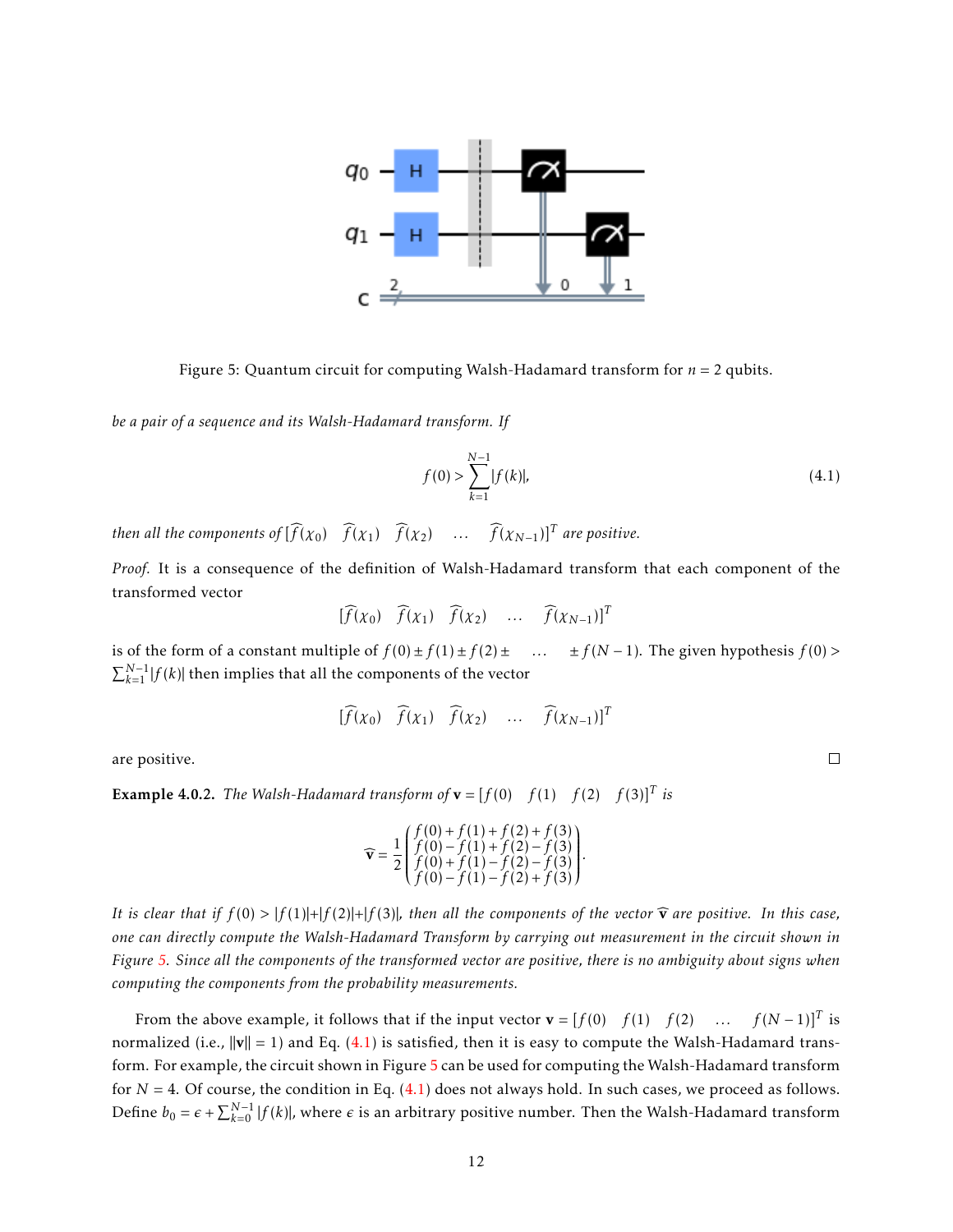<span id="page-11-0"></span>

Figure 5: Quantum circuit for computing Walsh-Hadamard transform for *n* = 2 qubits.

*be a pair of a sequence and its Walsh-Hadamard transform. If*

<span id="page-11-1"></span>
$$
f(0) > \sum_{k=1}^{N-1} |f(k)|, \tag{4.1}
$$

*then all the components of*  $[\widehat{f}(x_0) \ \widehat{f}(x_1) \ \widehat{f}(x_2) \ \ldots \ \widehat{f}(x_{N-1})]^T$  *are positive.* 

*Proof.* It is a consequence of the definition of Walsh-Hadamard transform that each component of the transformed vector

$$
[\widehat{f}(x_0) \quad \widehat{f}(x_1) \quad \widehat{f}(x_2) \quad \dots \quad \widehat{f}(x_{N-1})]^T
$$

is of the form of a constant multiple of  $f(0) \pm f(1) \pm f(2) \pm \ldots$  ±  $f(N-1)$ . The given hypothesis  $f(0)$  >  $\sum_{k=1}^{N-1} |f(k)|$  then implies that all the components of the vector

$$
[\widehat{f}(x_0) \quad \widehat{f}(x_1) \quad \widehat{f}(x_2) \quad \dots \quad \widehat{f}(x_{N-1})]^T
$$

are positive.

**Example 4.0.2.** The Walsh-Hadamard transform of  $\mathbf{v} = [f(0) \quad f(1) \quad f(2) \quad f(3)]^T$  is

$$
\widehat{\mathbf{v}} = \frac{1}{2} \begin{pmatrix} f(0) + f(1) + f(2) + f(3) \\ f(0) - f(1) + f(2) - f(3) \\ f(0) + f(1) - f(2) - f(3) \\ f(0) - f(1) - f(2) + f(3) \end{pmatrix}.
$$

*It is clear that if*  $f(0) > |f(1)|+|f(2)|+|f(3)|$ *, then all the components of the vector*  $\hat{\mathbf{v}}$  *are positive. In this case, one can directly compute the Walsh-Hadamard Transform by carrying out measurement in the circuit shown in Figure [5.](#page-11-0) Since all the components of the transformed vector are positive, there is no ambiguity about signs when computing the components from the probability measurements.*

From the above example, it follows that if the input vector  $\mathbf{v} = [f(0) \quad f(1) \quad f(2) \quad \dots \quad f(N-1)]^T$  is normalized (i.e.,  $\|\mathbf{v}\| = 1$ ) and Eq. [\(4.1\)](#page-11-1) is satisfied, then it is easy to compute the Walsh-Hadamard transform. For example, the circuit shown in Figure [5](#page-11-0) can be used for computing the Walsh-Hadamard transform for  $N = 4$ . Of course, the condition in Eq.  $(4.1)$  does not always hold. In such cases, we proceed as follows. Define  $b_0 = \epsilon + \sum_{k=0}^{N-1} |f(k)|$ , where  $\epsilon$  is an arbitrary positive number. Then the Walsh-Hadamard transform

 $\Box$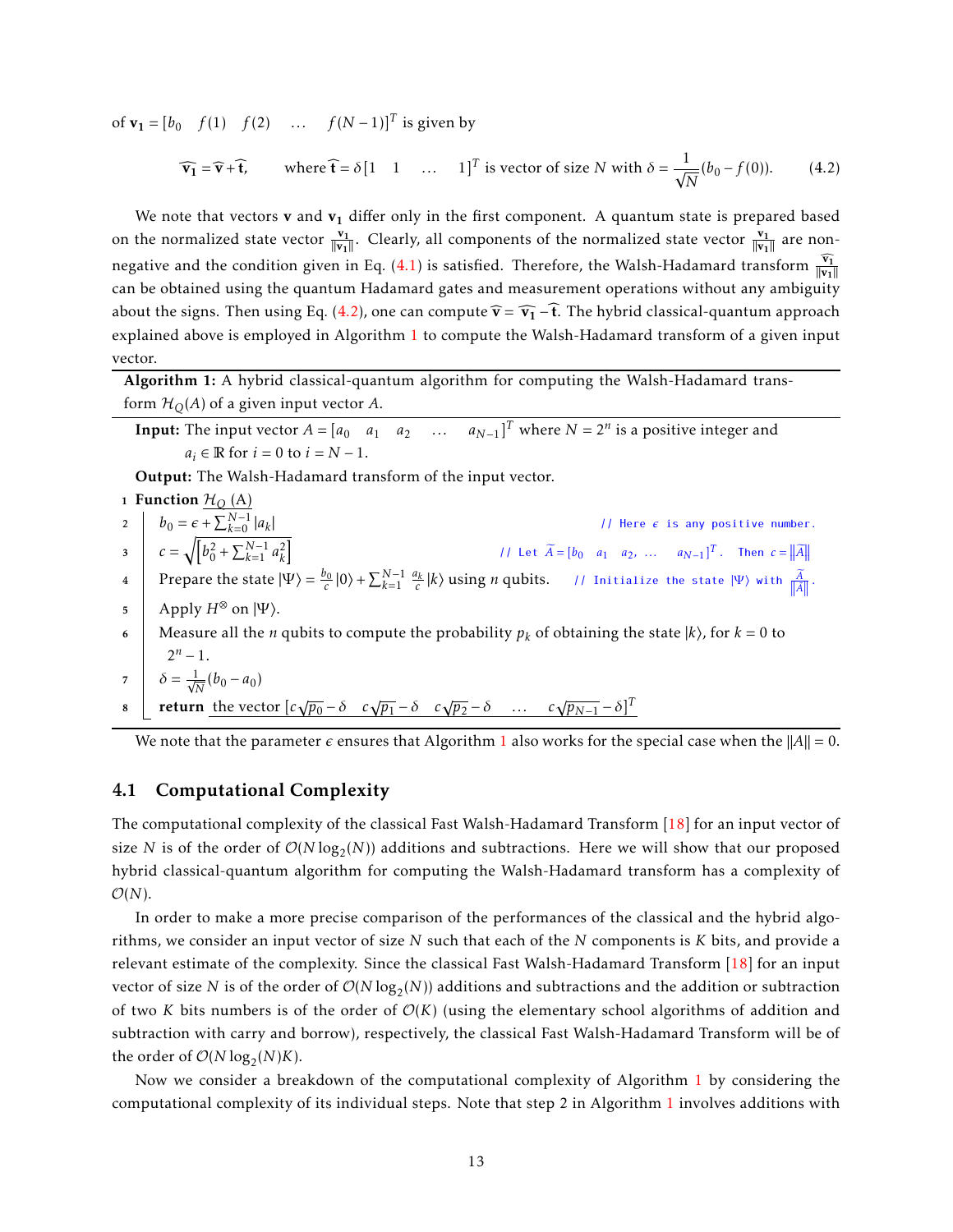of **v**<sub>1</sub> =  $[b_0 \quad f(1) \quad f(2) \quad \dots \quad f(N-1)]^T$  is given by

<span id="page-12-1"></span>
$$
\widehat{\mathbf{v}_1} = \widehat{\mathbf{v}} + \widehat{\mathbf{t}}, \qquad \text{where } \widehat{\mathbf{t}} = \delta \begin{bmatrix} 1 & 1 & \dots & 1 \end{bmatrix}^T \text{ is vector of size } N \text{ with } \delta = \frac{1}{\sqrt{N}} (b_0 - f(0)). \tag{4.2}
$$

We note that vectors **v** and  $\mathbf{v}_1$  differ only in the first component. A quantum state is prepared based on the normalized state vector  $\frac{v_1}{\|v_1\|}$ . Clearly, all components of the normalized state vector  $\frac{v_1}{\|v_1\|}$  are non-negative and the condition given in Eq. [\(4.1\)](#page-11-1) is satisfied. Therefore, the Walsh-Hadamard transform  $\frac{\widehat{\mathbf{v_1}}}{\|\mathbf{v_1}\|}$ can be obtained using the quantum Hadamard gates and measurement operations without any ambiguity about the signs. Then using Eq. [\(4.2\)](#page-12-1), one can compute  $\hat{\mathbf{v}} = \hat{\mathbf{v}}_1 - \hat{\mathbf{t}}$ . The hybrid classical-quantum approach explained above is employed in Algorithm [1](#page-12-2) to compute the Walsh-Hadamard transform of a given input vector.

<span id="page-12-2"></span>Algorithm 1: A hybrid classical-quantum algorithm for computing the Walsh-Hadamard transform  $\mathcal{H}_O(A)$  of a given input vector A.

**Input:** The input vector  $A = [a_0 \ a_1 \ a_2 \ \dots \ a_{N-1}]^T$  where  $N = 2^n$  is a positive integer and  $a_i \in \mathbb{R}$  for  $i = 0$  to  $i = N - 1$ .

Output: The Walsh-Hadamard transform of the input vector.

1 Function  $H_O(A)$ 2  $b_0 = \epsilon + \sum_{k=0}^{N-1} |a_k|$  $//$  Here  $\epsilon$  is any positive number. 3  $c = \sqrt{\left[b_0^2 + \sum_{k=1}^{N-1} a_k^2\right]}$  // Let  $\widetilde{A} = \left[b_0 \quad a_1 \quad a_2, \dots \quad a_{N-1}\right]^T$ . Then  $c = ||\widetilde{A}||$  $\sqrt{b_0^2 + \sum_{k=1}^{N-1} a_k^2}$  $\mathcal{L} = \int_{0}^{\infty} \text{Prepare the state } |\Psi\rangle = \frac{b_0}{c} |0\rangle + \sum_{k=1}^{N-1} \frac{a_k}{c} |k\rangle \text{ using } n \text{ qubits.}$  // Initialize the state  $|\Psi\rangle$  with  $\frac{\widetilde{A}}{||\widetilde{A}||}$ .  $\mathfrak{g}$  Apply  $H^{\otimes}$  on  $|\Psi\rangle$ . 6 Measure all the *n* qubits to compute the probability  $p_k$  of obtaining the state  $|k\rangle$ , for  $k = 0$  to  $2^n - 1$ . 7  $\delta = \frac{1}{\sqrt{2}}$  $\frac{1}{N}(b_0 - a_0)$ <sup>8</sup> return the vector [*c*  $\sqrt{p_0} - \delta$  *c*√ $\overline{p_1} - \delta$  *c*√ $\overline{p_2} - \delta$  ... *c*√ $\overline{p_{N-1}} - \delta$ <sup>T</sup>

We note that the parameter  $\epsilon$  ensures that Algorithm [1](#page-12-2) also works for the special case when the  $||A|| = 0$ .

#### <span id="page-12-0"></span>4.1 Computational Complexity

The computational complexity of the classical Fast Walsh-Hadamard Transform [\[18\]](#page-27-7) for an input vector of size *N* is of the order of  $\mathcal{O}(N \log_2(N))$  additions and subtractions. Here we will show that our proposed hybrid classical-quantum algorithm for computing the Walsh-Hadamard transform has a complexity of  $\mathcal{O}(N)$ .

In order to make a more precise comparison of the performances of the classical and the hybrid algorithms, we consider an input vector of size *N* such that each of the *N* components is *K* bits, and provide a relevant estimate of the complexity. Since the classical Fast Walsh-Hadamard Transform [\[18\]](#page-27-7) for an input vector of size  $N$  is of the order of  $\mathcal{O}(N \log_2(N))$  additions and subtractions and the addition or subtraction of two *K* bits numbers is of the order of  $\mathcal{O}(K)$  (using the elementary school algorithms of addition and subtraction with carry and borrow), respectively, the classical Fast Walsh-Hadamard Transform will be of the order of  $\mathcal{O}(N \log_2(N) K)$ .

Now we consider a breakdown of the computational complexity of Algorithm [1](#page-12-2) by considering the computational complexity of its individual steps. Note that step 2 in Algorithm [1](#page-12-2) involves additions with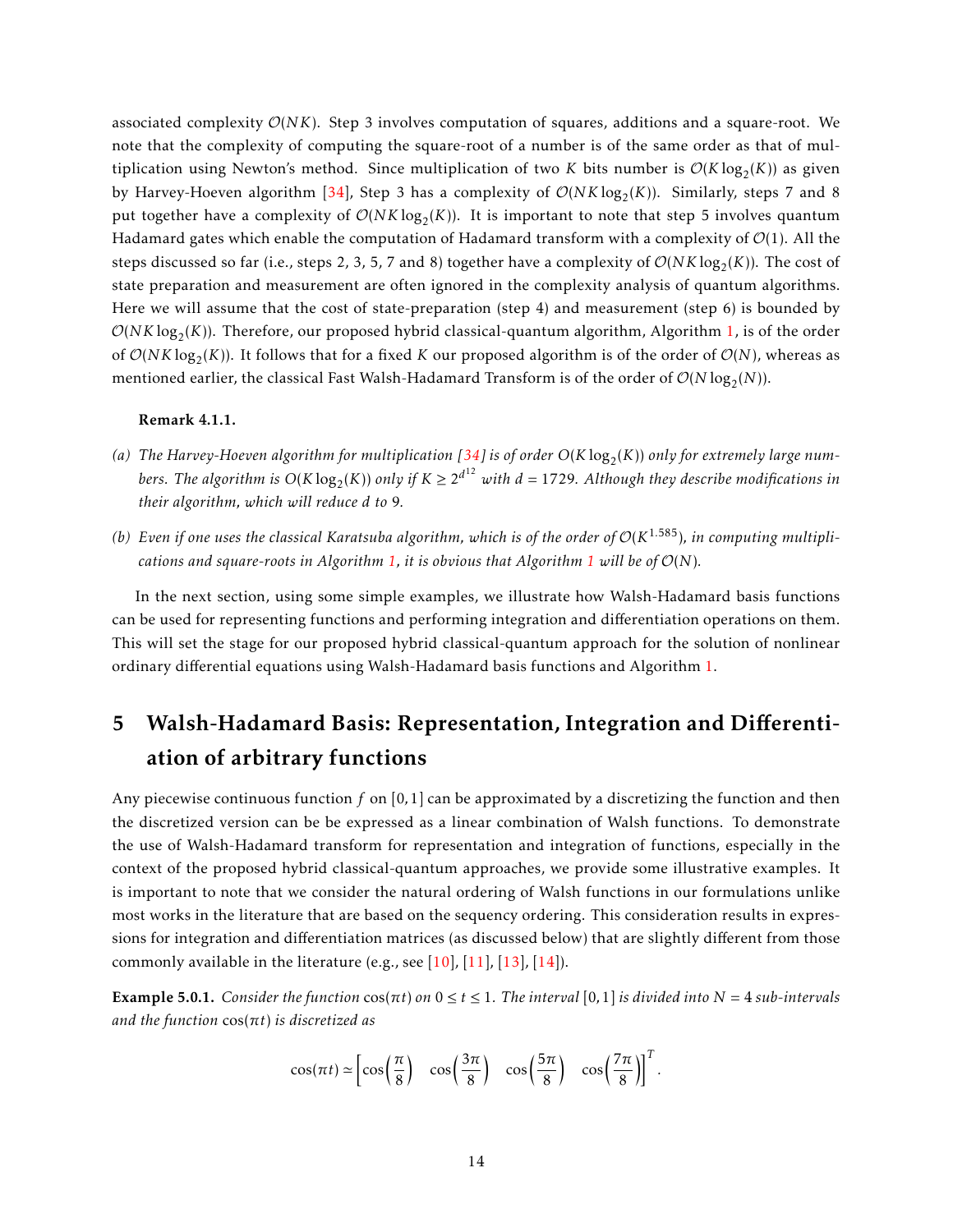associated complexity O(*NK*). Step 3 involves computation of squares, additions and a square-root. We note that the complexity of computing the square-root of a number is of the same order as that of multiplication using Newton's method. Since multiplication of two *K* bits number is  $O(K \log_2(K))$  as given by Harvey-Hoeven algorithm [\[34\]](#page-28-6), Step 3 has a complexity of  $\mathcal{O}(NK \log_2(K))$ . Similarly, steps 7 and 8 put together have a complexity of  $\mathcal{O}(NK \log_2(K))$ . It is important to note that step 5 involves quantum Hadamard gates which enable the computation of Hadamard transform with a complexity of  $\mathcal{O}(1)$ . All the steps discussed so far (i.e., steps 2, 3, 5, 7 and 8) together have a complexity of  $\mathcal{O}(NK\log_2(K))$ . The cost of state preparation and measurement are often ignored in the complexity analysis of quantum algorithms. Here we will assume that the cost of state-preparation (step 4) and measurement (step 6) is bounded by  $\mathcal{O}(NK\log_2(K))$ . Therefore, our proposed hybrid classical-quantum algorithm, Algorithm [1,](#page-12-2) is of the order of  $\mathcal{O}(NK \log_2(K))$ . It follows that for a fixed *K* our proposed algorithm is of the order of  $\mathcal{O}(N)$ , whereas as mentioned earlier, the classical Fast Walsh-Hadamard Transform is of the order of  $\mathcal{O}(N \log_2(N))$ .

#### Remark 4.1.1.

- (a) The Harvey-Hoeven algorithm for multiplication [\[34\]](#page-28-6) is of order  $O(K\log_2(K))$  only for extremely large numbers. The algorithm is  $O(K\log_2(K))$  only if  $K\geq 2^{d^{12}}$  with  $d=1729$ . Although they describe modifications in *their algorithm, which will reduce d to* 9*.*
- (b) Even if one uses the classical Karatsuba algorithm, which is of the order of  $\mathcal{O}(K^{1.585})$ , in computing multipli*cations and square-roots in Algorithm* [1,](#page-12-2) *it is obvious that Algorithm* [1](#page-12-2) *will be of*  $\mathcal{O}(N)$ *.*

In the next section, using some simple examples, we illustrate how Walsh-Hadamard basis functions can be used for representing functions and performing integration and differentiation operations on them. This will set the stage for our proposed hybrid classical-quantum approach for the solution of nonlinear ordinary differential equations using Walsh-Hadamard basis functions and Algorithm [1.](#page-12-2)

## <span id="page-13-0"></span>5 Walsh-Hadamard Basis: Representation, Integration and Differentiation of arbitrary functions

Any piecewise continuous function *f* on [0*,*1] can be approximated by a discretizing the function and then the discretized version can be be expressed as a linear combination of Walsh functions. To demonstrate the use of Walsh-Hadamard transform for representation and integration of functions, especially in the context of the proposed hybrid classical-quantum approaches, we provide some illustrative examples. It is important to note that we consider the natural ordering of Walsh functions in our formulations unlike most works in the literature that are based on the sequency ordering. This consideration results in expressions for integration and differentiation matrices (as discussed below) that are slightly different from those commonly available in the literature (e.g., see [\[10\]](#page-26-9), [\[11\]](#page-27-0), [\[13\]](#page-27-2), [\[14\]](#page-27-3)).

Example 5.0.1. *Consider the function* cos(*πt*) *on* 0 ≤ *t* ≤ 1*. The interval* [0*,*1] *is divided into N* = 4 *sub-intervals and the function* cos(*πt*) *is discretized as*

$$
\cos(\pi t) \simeq \left[\cos\left(\frac{\pi}{8}\right) \cos\left(\frac{3\pi}{8}\right) \cos\left(\frac{5\pi}{8}\right) \cos\left(\frac{7\pi}{8}\right)\right]^T.
$$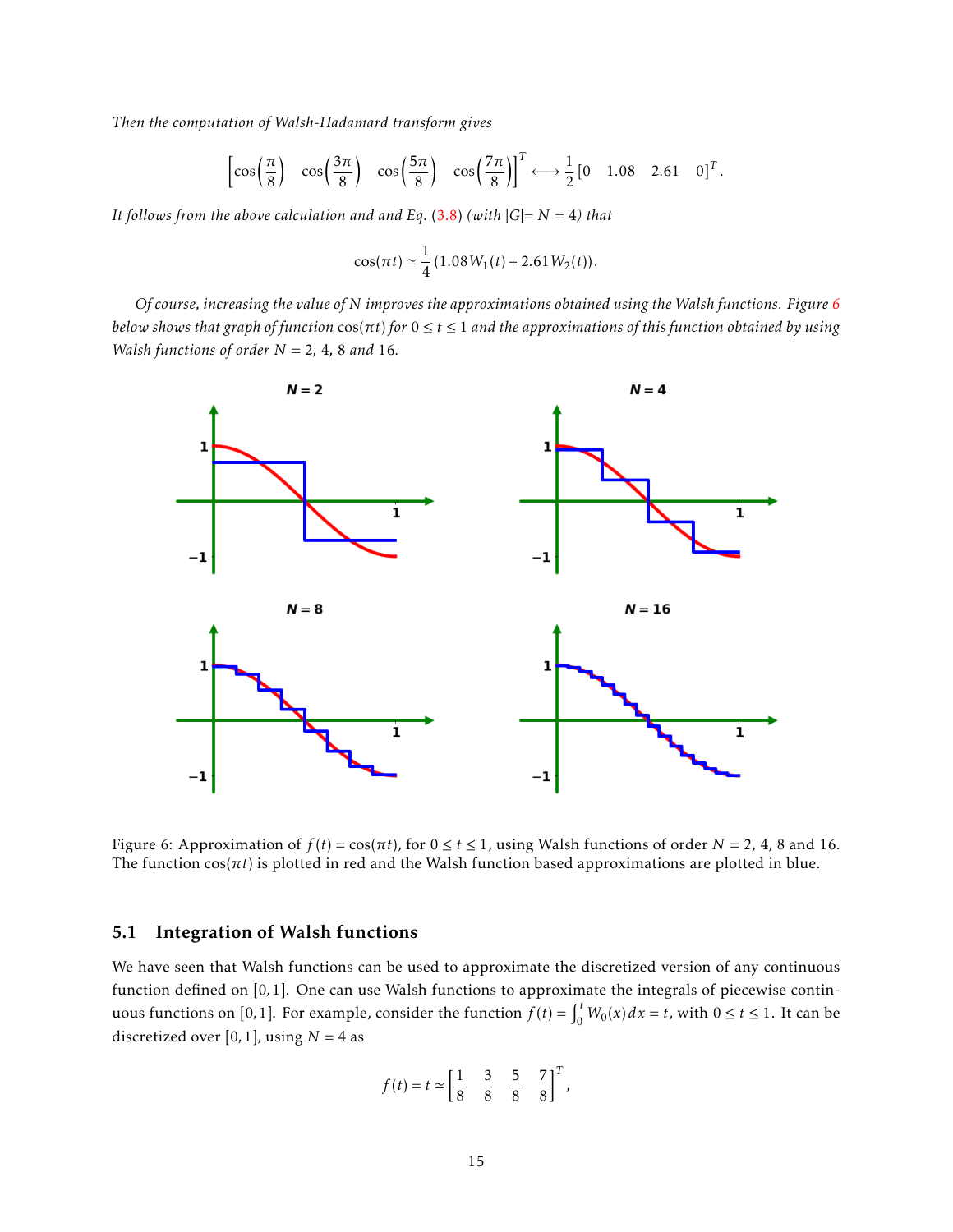*Then the computation of Walsh-Hadamard transform gives*

$$
\left[\cos\left(\frac{\pi}{8}\right) \cos\left(\frac{3\pi}{8}\right) \cos\left(\frac{5\pi}{8}\right) \cos\left(\frac{7\pi}{8}\right)\right]^T \longleftrightarrow \frac{1}{2} \begin{bmatrix} 0 & 1.08 & 2.61 & 0 \end{bmatrix}^T.
$$

*It follows from the above calculation and and Eq.* [\(3.8\)](#page-6-1) *(with*  $|G| = N = 4$ *) that* 

$$
\cos(\pi t) \simeq \frac{1}{4} (1.08 W_1(t) + 2.61 W_2(t)).
$$

*Of course, increasing the value of N improves the approximations obtained using the Walsh functions. Figure [6](#page-14-1) below shows that graph of function* cos(*πt*) *for* 0 ≤ *t* ≤ 1 *and the approximations of this function obtained by using Walsh functions of order N* = 2*,* 4*,* 8 *and* 16*.*

<span id="page-14-1"></span>

Figure 6: Approximation of  $f(t) = cos(\pi t)$ , for  $0 \le t \le 1$ , using Walsh functions of order  $N = 2$ , 4, 8 and 16. The function cos(*πt*) is plotted in red and the Walsh function based approximations are plotted in blue.

#### <span id="page-14-0"></span>5.1 Integration of Walsh functions

We have seen that Walsh functions can be used to approximate the discretized version of any continuous function defined on [0*,*1]. One can use Walsh functions to approximate the integrals of piecewise continuous functions on [0,1]. For example, consider the function  $f(t) = \int_0^t W_0(x) dx = t$ , with  $0 \le t \le 1$ . It can be discretized over [0, 1], using  $N = 4$  as

$$
f(t) = t \approx \begin{bmatrix} \frac{1}{8} & \frac{3}{8} & \frac{5}{8} & \frac{7}{8} \end{bmatrix}^T
$$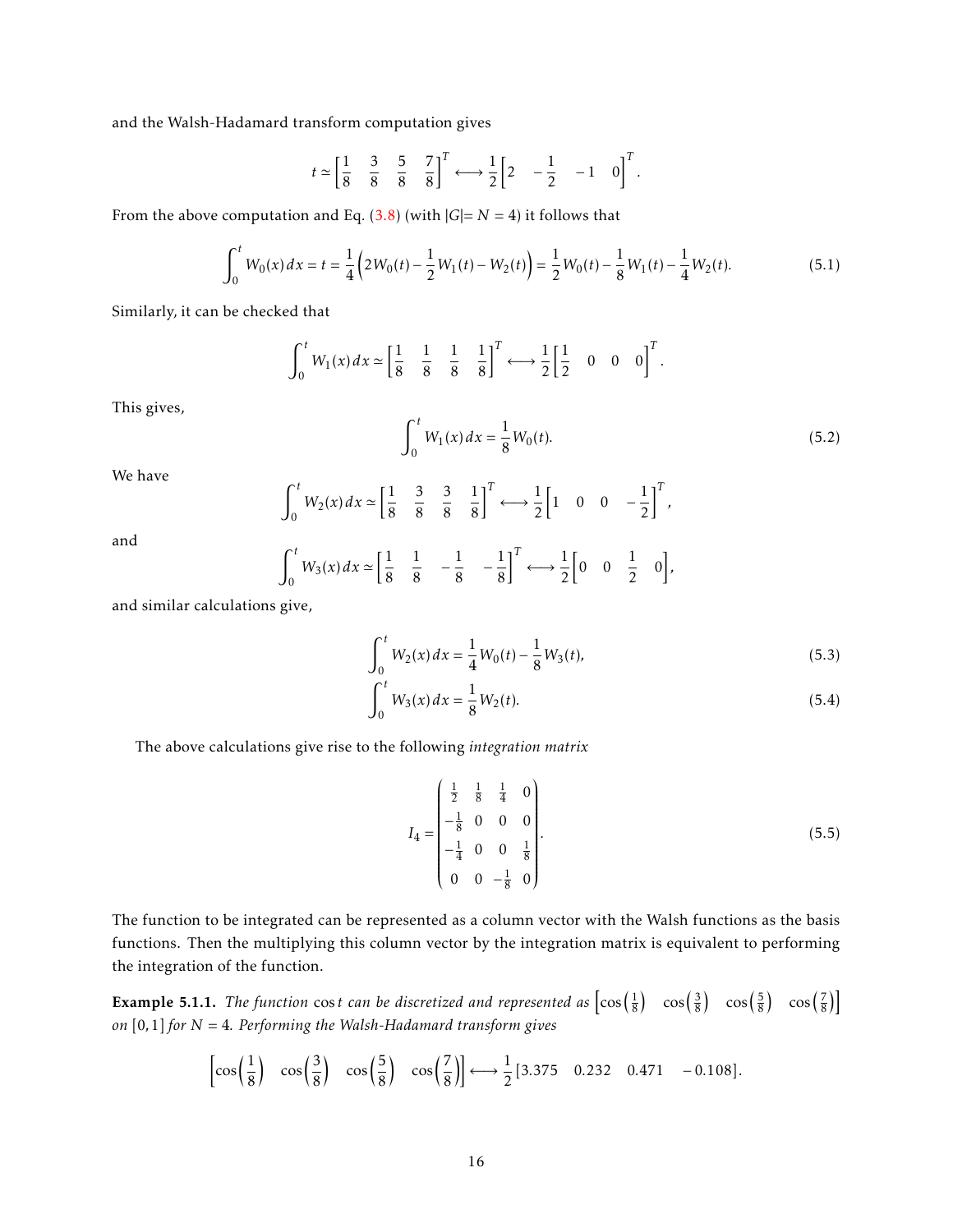and the Walsh-Hadamard transform computation gives

$$
t \simeq \begin{bmatrix} \frac{1}{8} & \frac{3}{8} & \frac{5}{8} & \frac{7}{8} \end{bmatrix}^T \longleftrightarrow \frac{1}{2} \begin{bmatrix} 2 & -\frac{1}{2} & -1 & 0 \end{bmatrix}^T.
$$

From the above computation and Eq.  $(3.8)$  (with  $|G|=N=4$ ) it follows that

$$
\int_0^t W_0(x) dx = t = \frac{1}{4} \left( 2W_0(t) - \frac{1}{2} W_1(t) - W_2(t) \right) = \frac{1}{2} W_0(t) - \frac{1}{8} W_1(t) - \frac{1}{4} W_2(t).
$$
 (5.1)

Similarly, it can be checked that

$$
\int_0^t W_1(x) dx \simeq \left[\frac{1}{8} \quad \frac{1}{8} \quad \frac{1}{8} \quad \frac{1}{8} \quad \frac{1}{8}\right]^T \longleftrightarrow \frac{1}{2} \left[\frac{1}{2} \quad 0 \quad 0 \quad 0\right]^T.
$$

This gives,

$$
\int_0^t W_1(x) dx = \frac{1}{8} W_0(t).
$$
 (5.2)

We have

$$
\int_0^t W_2(x) dx \simeq \left[\frac{1}{8} \quad \frac{3}{8} \quad \frac{3}{8} \quad \frac{1}{8}\right]^T \longleftrightarrow \frac{1}{2} \left[1 \quad 0 \quad 0 \quad -\frac{1}{2}\right]^T,
$$

and

$$
\int_0^t W_3(x) dx \simeq \left[\frac{1}{8} \quad \frac{1}{8} \quad -\frac{1}{8} \quad -\frac{1}{8}\right]^T \longleftrightarrow \frac{1}{2} \left[0 \quad 0 \quad \frac{1}{2} \quad 0\right],
$$

and similar calculations give,

$$
\int_0^t W_2(x) dx = \frac{1}{4} W_0(t) - \frac{1}{8} W_3(t),
$$
\n(5.3)

$$
\int_0^t W_3(x) dx = \frac{1}{8} W_2(t).
$$
 (5.4)

The above calculations give rise to the following *integration matrix*

$$
I_4 = \begin{pmatrix} \frac{1}{2} & \frac{1}{8} & \frac{1}{4} & 0 \\ -\frac{1}{8} & 0 & 0 & 0 \\ -\frac{1}{4} & 0 & 0 & \frac{1}{8} \\ 0 & 0 & -\frac{1}{8} & 0 \end{pmatrix}.
$$
 (5.5)

The function to be integrated can be represented as a column vector with the Walsh functions as the basis functions. Then the multiplying this column vector by the integration matrix is equivalent to performing the integration of the function.

**Example 5.1.1.** The function cost can be discretized and represented as  $\left[\cos\left(\frac{1}{8}\right) \cos\left(\frac{3}{8}\right) \cos\left(\frac{5}{8}\right) \cos\left(\frac{7}{8}\right)\right]$ *on* [0*,*1] *for N* = 4*. Performing the Walsh-Hadamard transform gives*

$$
\left[\cos\left(\frac{1}{8}\right) \cos\left(\frac{3}{8}\right) \cos\left(\frac{5}{8}\right) \cos\left(\frac{7}{8}\right)\right] \longleftrightarrow \frac{1}{2} [3.375 \quad 0.232 \quad 0.471 \quad -0.108].
$$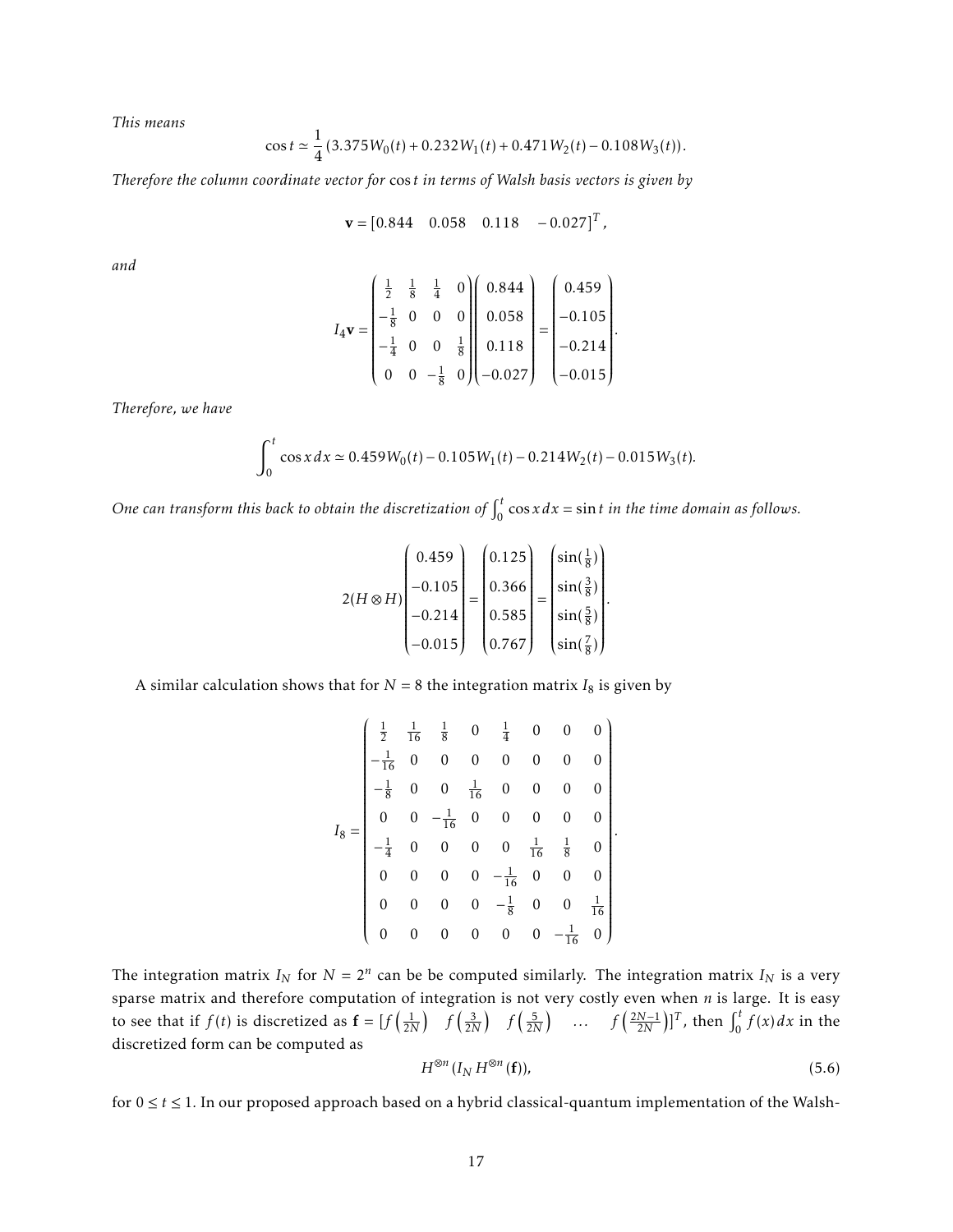*This means*

$$
\cos t \simeq \frac{1}{4} \left( 3.375 W_0(t) + 0.232 W_1(t) + 0.471 W_2(t) - 0.108 W_3(t) \right).
$$

*Therefore the column coordinate vector for* cos *t in terms of Walsh basis vectors is given by*

$$
\mathbf{v} = [0.844 \quad 0.058 \quad 0.118 \quad -0.027]^T,
$$

*and*

$$
I_4 \mathbf{v} = \begin{pmatrix} \frac{1}{2} & \frac{1}{8} & \frac{1}{4} & 0 \\ -\frac{1}{8} & 0 & 0 & 0 \\ -\frac{1}{4} & 0 & 0 & \frac{1}{8} \\ 0 & 0 & -\frac{1}{8} & 0 \end{pmatrix} \begin{pmatrix} 0.844 \\ 0.058 \\ 0.118 \\ -0.027 \end{pmatrix} = \begin{pmatrix} 0.459 \\ -0.105 \\ -0.214 \\ -0.015 \end{pmatrix}.
$$

*Therefore, we have*

$$
\int_0^t \cos x \, dx \simeq 0.459W_0(t) - 0.105W_1(t) - 0.214W_2(t) - 0.015W_3(t).
$$

One can transform this back to obtain the discretization of  $\int_0^t$  $\int_{0}^{t}$  cos *x* d *x* = sin *t* in the time domain as follows.

$$
2(H \otimes H) \begin{pmatrix} 0.459 \\ -0.105 \\ -0.214 \\ -0.015 \end{pmatrix} = \begin{pmatrix} 0.125 \\ 0.366 \\ 0.585 \\ 0.767 \end{pmatrix} = \begin{pmatrix} \sin(\frac{1}{8}) \\ \sin(\frac{3}{8}) \\ \sin(\frac{5}{8}) \\ \sin(\frac{7}{8}) \end{pmatrix}.
$$

A similar calculation shows that for  $N = 8$  the integration matrix  $I_8$  is given by

$$
I_8 = \begin{pmatrix} \frac{1}{2} & \frac{1}{16} & \frac{1}{8} & 0 & \frac{1}{4} & 0 & 0 & 0 \\ -\frac{1}{16} & 0 & 0 & 0 & 0 & 0 & 0 & 0 \\ -\frac{1}{8} & 0 & 0 & \frac{1}{16} & 0 & 0 & 0 & 0 \\ 0 & 0 & -\frac{1}{16} & 0 & 0 & 0 & 0 & 0 \\ -\frac{1}{4} & 0 & 0 & 0 & 0 & \frac{1}{16} & \frac{1}{8} & 0 \\ 0 & 0 & 0 & 0 & -\frac{1}{16} & 0 & 0 & 0 \\ 0 & 0 & 0 & 0 & -\frac{1}{8} & 0 & 0 & \frac{1}{16} \\ 0 & 0 & 0 & 0 & 0 & 0 & -\frac{1}{16} & 0 \end{pmatrix}
$$

The integration matrix  $I_N$  for  $N = 2^n$  can be be computed similarly. The integration matrix  $I_N$  is a very sparse matrix and therefore computation of integration is not very costly even when *n* is large. It is easy to see that if  $f(t)$  is discretized as  $\mathbf{f} = [f(\frac{1}{2N}) \quad f(\frac{3}{2N}) \quad f(\frac{5}{2N}) \quad \dots \quad f(\frac{2N-1}{2N})]^T$ , then  $\int_0^t f(\frac{1}{2N})^T f(\frac{3}{2N})^T$  $\int_{0}^{t} f(x) dx$  in the discretized form can be computed as

$$
H^{\otimes n}(I_N H^{\otimes n}(\mathbf{f})),\tag{5.6}
$$

*.*

for 0 ≤ *t* ≤ 1*.* In our proposed approach based on a hybrid classical-quantum implementation of the Walsh-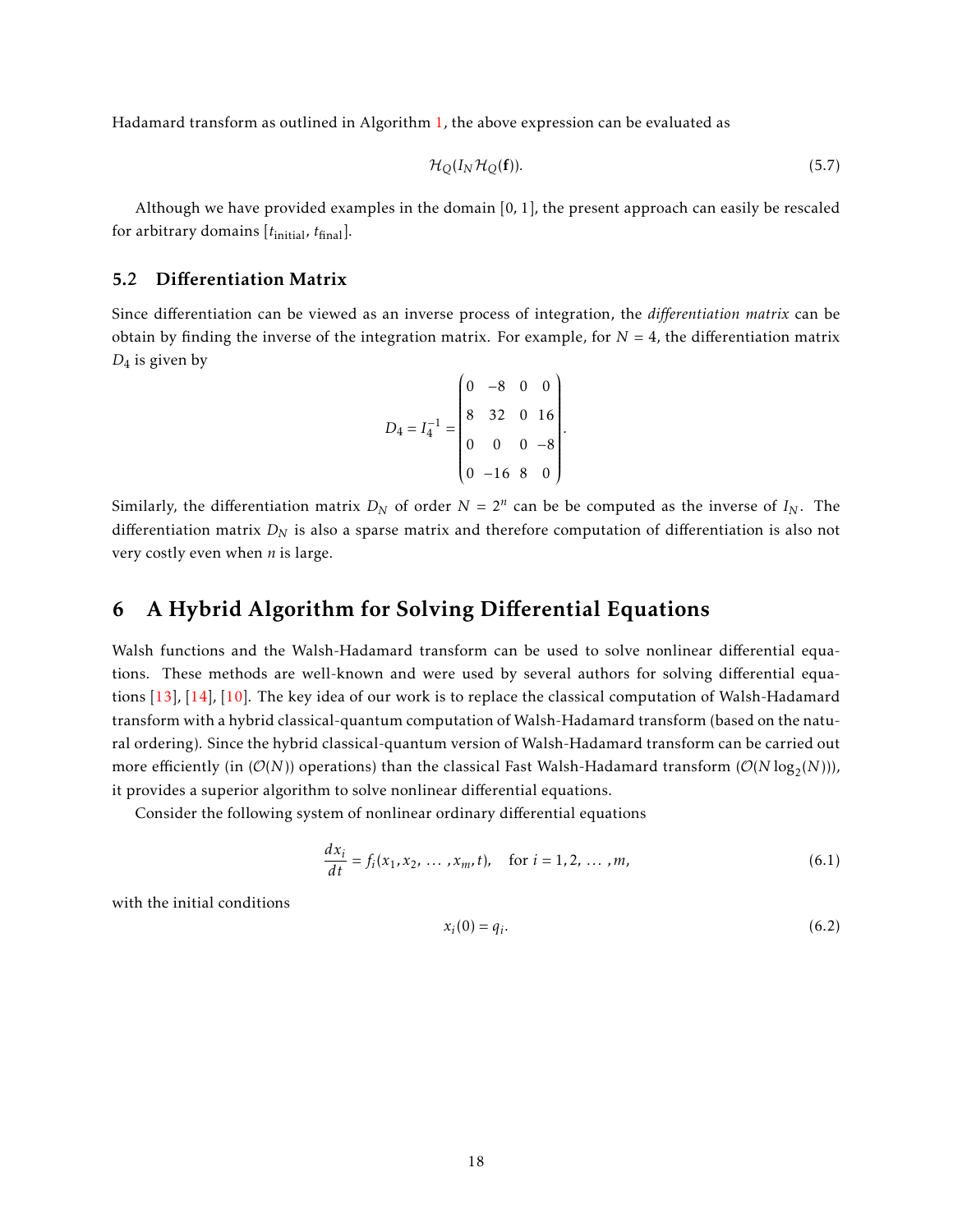Hadamard transform as outlined in Algorithm [1,](#page-12-2) the above expression can be evaluated as

<span id="page-17-4"></span>
$$
\mathcal{H}_Q(I_N \mathcal{H}_Q(\mathbf{f})).\tag{5.7}
$$

Although we have provided examples in the domain [0*,* 1], the present approach can easily be rescaled for arbitrary domains [*t*initial*, t*final].

#### <span id="page-17-0"></span>5.2 Differentiation Matrix

Since differentiation can be viewed as an inverse process of integration, the *differentiation matrix* can be obtain by finding the inverse of the integration matrix. For example, for  $N = 4$ , the differentiation matrix *D*<sup>4</sup> is given by

$$
D_4 = I_4^{-1} = \begin{pmatrix} 0 & -8 & 0 & 0 \\ 8 & 32 & 0 & 16 \\ 0 & 0 & 0 & -8 \\ 0 & -16 & 8 & 0 \end{pmatrix}.
$$

Similarly, the differentiation matrix  $D_N$  of order  $N = 2^n$  can be be computed as the inverse of  $I_N$ . The differentiation matrix *D<sup>N</sup>* is also a sparse matrix and therefore computation of differentiation is also not very costly even when *n* is large.

## <span id="page-17-1"></span>6 A Hybrid Algorithm for Solving Differential Equations

Walsh functions and the Walsh-Hadamard transform can be used to solve nonlinear differential equations. These methods are well-known and were used by several authors for solving differential equations [\[13\]](#page-27-2), [\[14\]](#page-27-3), [\[10\]](#page-26-9). The key idea of our work is to replace the classical computation of Walsh-Hadamard transform with a hybrid classical-quantum computation of Walsh-Hadamard transform (based on the natural ordering). Since the hybrid classical-quantum version of Walsh-Hadamard transform can be carried out more efficiently (in  $(\mathcal{O}(N))$  operations) than the classical Fast Walsh-Hadamard transform  $(\mathcal{O}(N \log_2(N)))$ , it provides a superior algorithm to solve nonlinear differential equations.

Consider the following system of nonlinear ordinary differential equations

$$
\frac{dx_i}{dt} = f_i(x_1, x_2, \dots, x_m, t), \quad \text{for } i = 1, 2, \dots, m,
$$
 (6.1)

with the initial conditions

<span id="page-17-3"></span><span id="page-17-2"></span>
$$
x_i(0) = q_i. \tag{6.2}
$$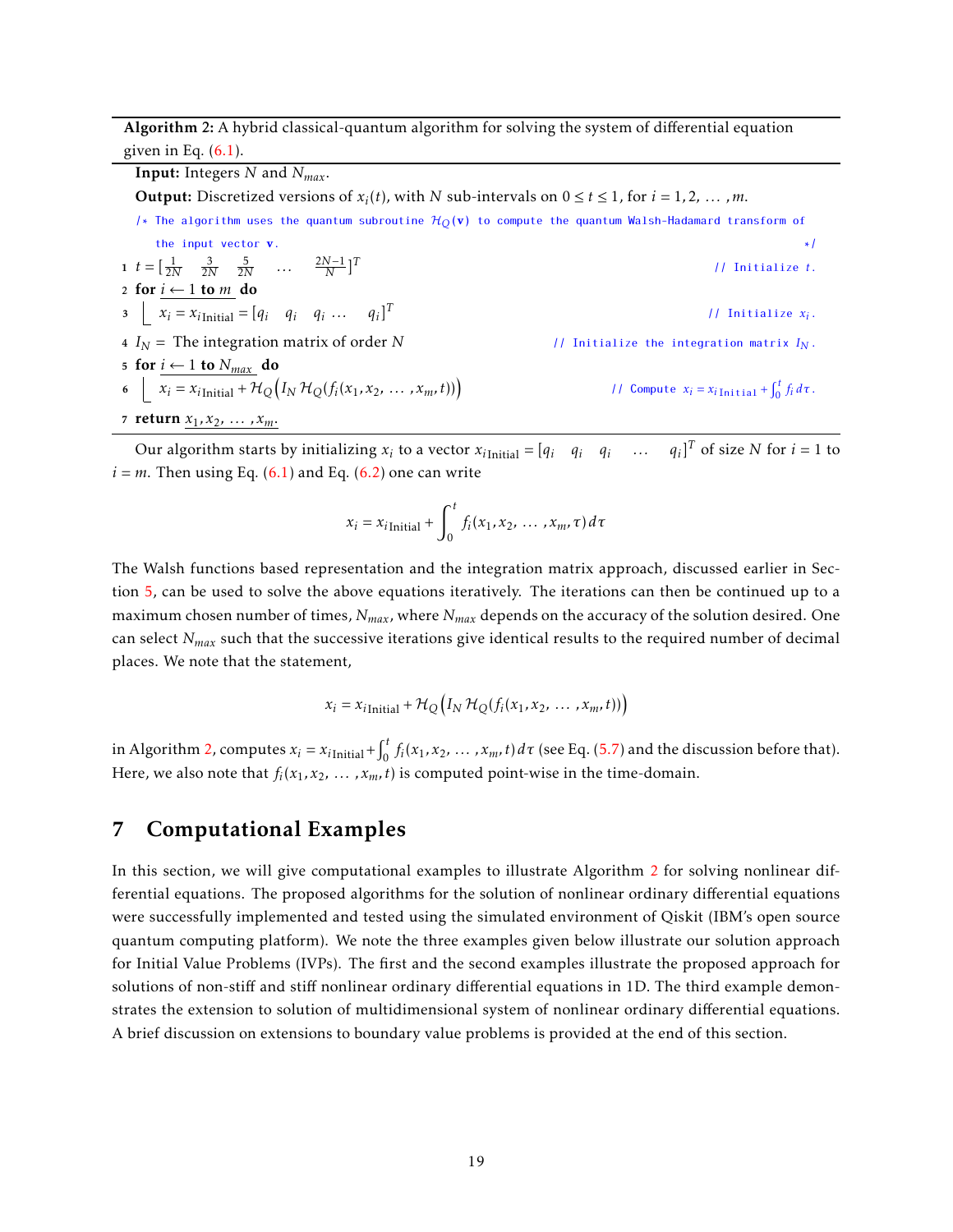<span id="page-18-1"></span>Algorithm 2: A hybrid classical-quantum algorithm for solving the system of differential equation given in Eq*.* [\(6.1\)](#page-17-2).

Input: Integers *N* and *Nmax*. **Output:** Discretized versions of  $x_i(t)$ , with *N* sub-intervals on  $0 \le t \le 1$ , for  $i = 1, 2, \ldots, m$ . /\* The algorithm uses the quantum subroutine  $H<sub>O</sub>(v)$  to compute the quantum Walsh-Hadamard transform of the input vector  $\mathbf{v}$ .  $*$ /  $t = \left[\frac{1}{2N} \quad \frac{3}{2N} \quad \frac{5}{2N} \quad \dots \quad \frac{2N-1}{N}\right]^{T}$ // Initialize *t*. 2 for  $i \leftarrow 1$  to  $m$  do  $x_i = x_{i \text{Initial}} = [q_i \quad q_i \quad q_i \quad \dots \quad q_i]^T$ // Initialize *xi*. 4  $I_N$  = The integration matrix of order *N* // Initialize the integration matrix  $I_N$ . 5 for  $i$  ← 1 to  $\frac{N_{max}}{N}$  do  $\kappa_i = x_{i\text{Initial}} + \mathcal{H}_Q(I_N \mathcal{H}_Q(f_i(x_1, x_2, ..., x_m, t)))$ // Compute  $x_i = x_{i \text{Initial}} + \int_0^t$  $\int_0^t f_i d\tau.$ 7 **return**  $x_1, x_2, ..., x_m$ .

Our algorithm starts by initializing  $x_i$  to a vector  $x_i$ <sub>Initial</sub> =  $[q_i \quad q_i \quad q_i \quad \dots \quad q_i]^T$  of size N for  $i = 1$  to  $i = m$ . Then using Eq. [\(6.1\)](#page-17-2) and Eq. [\(6.2\)](#page-17-3) one can write

$$
x_i = x_{i\text{Initial}} + \int_0^t f_i(x_1, x_2, \dots, x_m, \tau) d\tau
$$

The Walsh functions based representation and the integration matrix approach, discussed earlier in Section [5,](#page-13-0) can be used to solve the above equations iteratively. The iterations can then be continued up to a maximum chosen number of times, *Nmax*, where *Nmax* depends on the accuracy of the solution desired. One can select *Nmax* such that the successive iterations give identical results to the required number of decimal places. We note that the statement,

$$
x_i = x_{i\text{Initial}} + \mathcal{H}_Q(I_N \mathcal{H}_Q(f_i(x_1, x_2, \dots, x_m, t)))
$$

in Algorithm [2,](#page-18-1) computes  $x_i = x_{i\text{Initial}} + \int_0^t$  $\int_{0}^{t} f_i(x_1, x_2, \ldots, x_m, t) d\tau$  (see Eq. [\(5.7\)](#page-17-4) and the discussion before that). Here, we also note that  $f_i(x_1, x_2, \ldots, x_m, t)$  is computed point-wise in the time-domain.

## <span id="page-18-0"></span>7 Computational Examples

In this section, we will give computational examples to illustrate Algorithm [2](#page-18-1) for solving nonlinear differential equations. The proposed algorithms for the solution of nonlinear ordinary differential equations were successfully implemented and tested using the simulated environment of Qiskit (IBM's open source quantum computing platform). We note the three examples given below illustrate our solution approach for Initial Value Problems (IVPs). The first and the second examples illustrate the proposed approach for solutions of non-stiff and stiff nonlinear ordinary differential equations in 1D. The third example demonstrates the extension to solution of multidimensional system of nonlinear ordinary differential equations. A brief discussion on extensions to boundary value problems is provided at the end of this section.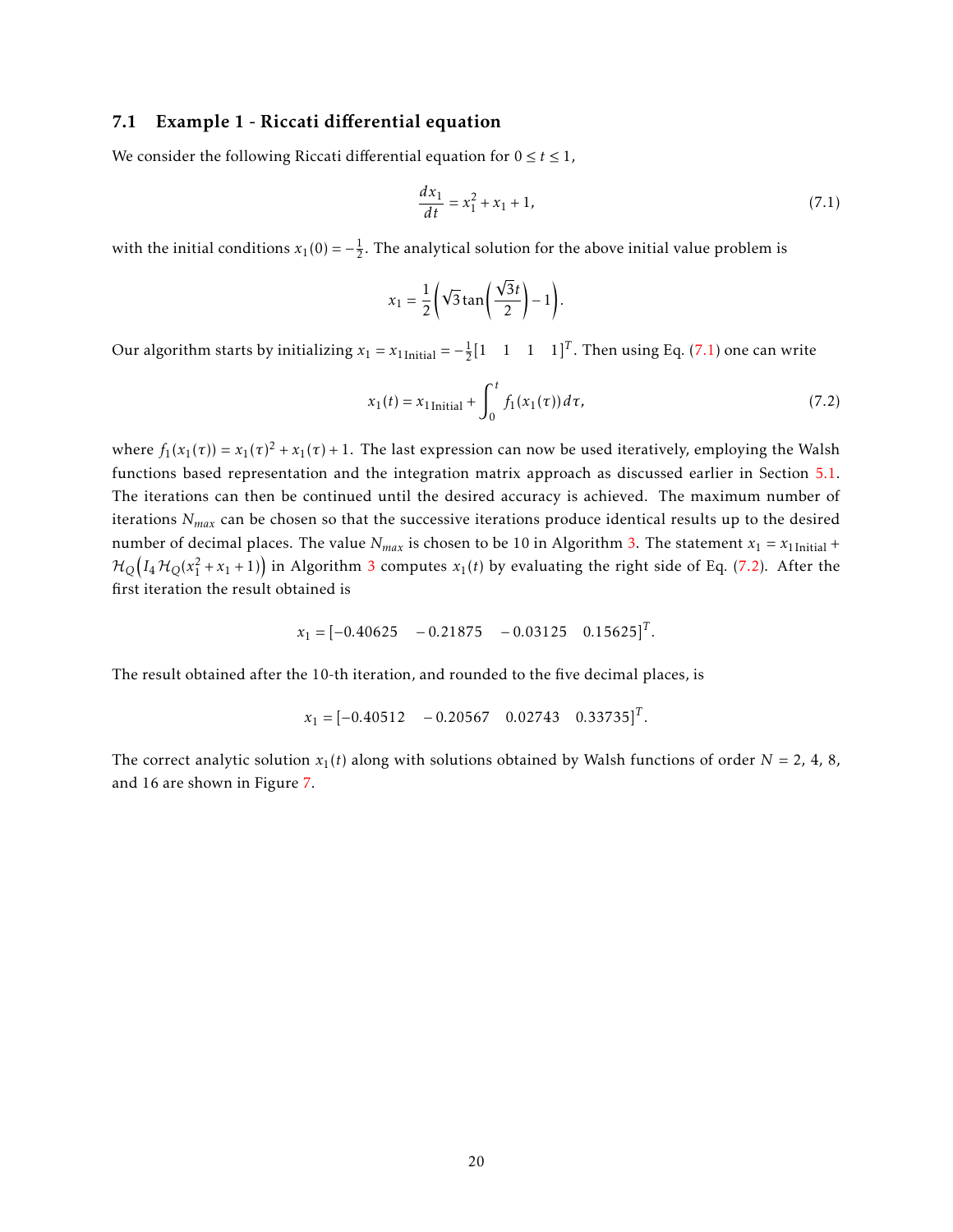#### 7.1 Example 1 - Riccati differential equation

We consider the following Riccati differential equation for  $0 \le t \le 1$ ,

<span id="page-19-0"></span>
$$
\frac{dx_1}{dt} = x_1^2 + x_1 + 1,\tag{7.1}
$$

with the initial conditions  $x_1(0) = -\frac{1}{2}$ . The analytical solution for the above initial value problem is

<span id="page-19-1"></span>
$$
x_1 = \frac{1}{2} \left( \sqrt{3} \tan \left( \frac{\sqrt{3}t}{2} \right) - 1 \right).
$$

Our algorithm starts by initializing  $x_1 = x_1$ <sub>Initial</sub> =  $-\frac{1}{2} [1 \quad 1 \quad 1 \quad 1]^T$ . Then using Eq. [\(7.1\)](#page-19-0) one can write

$$
x_1(t) = x_1_{\text{Initial}} + \int_0^t f_1(x_1(\tau)) d\tau,
$$
\n(7.2)

where  $f_1(x_1(\tau)) = x_1(\tau)^2 + x_1(\tau) + 1$ . The last expression can now be used iteratively, employing the Walsh functions based representation and the integration matrix approach as discussed earlier in Section [5.1.](#page-14-0) The iterations can then be continued until the desired accuracy is achieved. The maximum number of iterations *Nmax* can be chosen so that the successive iterations produce identical results up to the desired number of decimal places. The value  $N_{max}$  is chosen to be 10 in Algorithm [3.](#page-20-0) The statement  $x_1 = x_1$ <sub>Initial</sub> +  $\mathcal{H}_{Q}\big(I_{4}\,\mathcal{H}_{Q}(x_1^2+x_1+1)\big)$  in Algorithm [3](#page-20-0) computes  $x_1(t)$  by evaluating the right side of Eq. [\(7.2\)](#page-19-1). After the first iteration the result obtained is

$$
x_1 = [-0.40625 \quad -0.21875 \quad -0.03125 \quad 0.15625]^T.
$$

The result obtained after the 10-th iteration, and rounded to the five decimal places, is

$$
x_1 = [-0.40512 \quad -0.20567 \quad 0.02743 \quad 0.33735]^T.
$$

The correct analytic solution  $x_1(t)$  along with solutions obtained by Walsh functions of order  $N = 2$ , 4, 8, and 16 are shown in Figure [7.](#page-20-1)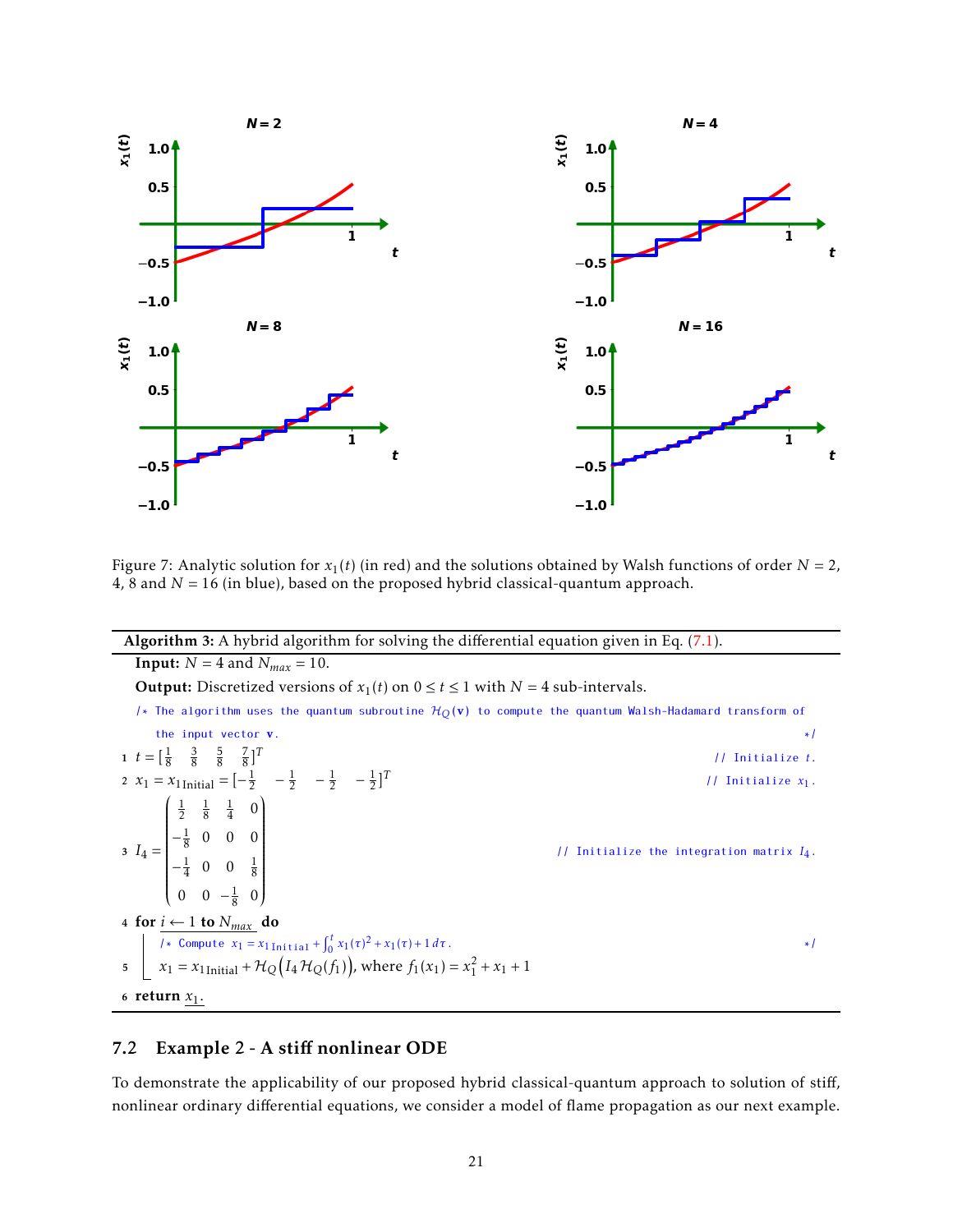<span id="page-20-1"></span>

Figure 7: Analytic solution for  $x_1(t)$  (in red) and the solutions obtained by Walsh functions of order  $N = 2$ , 4, 8 and *N* = 16 (in blue), based on the proposed hybrid classical-quantum approach.

#### <span id="page-20-0"></span>Algorithm 3: A hybrid algorithm for solving the differential equation given in Eq*.* [\(7.1\)](#page-19-0). **Input:**  $N = 4$  and  $N_{max} = 10$ . **Output:** Discretized versions of  $x_1(t)$  on  $0 \le t \le 1$  with  $N = 4$  sub-intervals. /\* The algorithm uses the quantum subroutine  $H_Q(\mathbf{v})$  to compute the quantum Walsh-Hadamard transform of the input vector  $\bf{v}$ .  $*$ / 1  $t = \begin{bmatrix} \frac{1}{8} & \frac{3}{8} & \frac{5}{8} & \frac{7}{8} \end{bmatrix}^T$ // Initialize *t*. 2  $x_1 = x_1$ <sub>Initial</sub> =  $\begin{bmatrix} -\frac{1}{2} & -\frac{1}{2} & -\frac{1}{2} \end{bmatrix}^T$ // Initialize *x*1.  $3 I_4 =$  $\begin{pmatrix} \frac{1}{2} & \frac{1}{8} & \frac{1}{4} & 0 \end{pmatrix}$   $-\frac{1}{8}$  0 0 0  $-\frac{1}{4}$  0 0  $\frac{1}{8}$  $0 \t 0 \t -\frac{1}{8} \t 0$ 8  $\lambda$  $\sqrt{\frac{1}{1-\frac{1}{1-\frac{1}{1-\frac{1}{1-\frac{1}{1-\frac{1}{1-\frac{1}{1-\frac{1}{1-\frac{1}{1-\frac{1}{1-\frac{1}{1-\frac{1}{1-\frac{1}{1-\frac{1}{1-\frac{1}{1-\frac{1}{1-\frac{1}{1-\frac{1}{1-\frac{1}{1-\frac{1}{1-\frac{1}{1-\frac{1}{1-\frac{1}{1-\frac{1}{1-\frac{1}{1-\frac{1}{1-\frac{1}{1-\frac{1}{1-\frac{1}{1-\frac{1}{1-\frac{1}{1-\frac{1}{1-\frac{1}{1-\frac{1}{1-\frac{1}{1-\frac{1}{1-\frac$ // Initialize the integration matrix *I*4. 4 for  $i$  ← 1 to  $N_{max}$  do /\* Compute  $x_1 = x_1$ <sub>Initial</sub> +  $\int_0^t$  $\int_0^t x_1(\tau)^2 + x_1(\tau) + 1 d\tau.$  \*/  $x_1 = x_1$ <sub>Initial</sub> +  $\mathcal{H}_{Q}(I_4 \mathcal{H}_{Q}(f_1))$ , where  $f_1(x_1) = x_1^2 + x_1 + 1$ 6 return  $x_1$ .

## 7.2 Example 2 - A stiff nonlinear ODE

To demonstrate the applicability of our proposed hybrid classical-quantum approach to solution of stiff, nonlinear ordinary differential equations, we consider a model of flame propagation as our next example.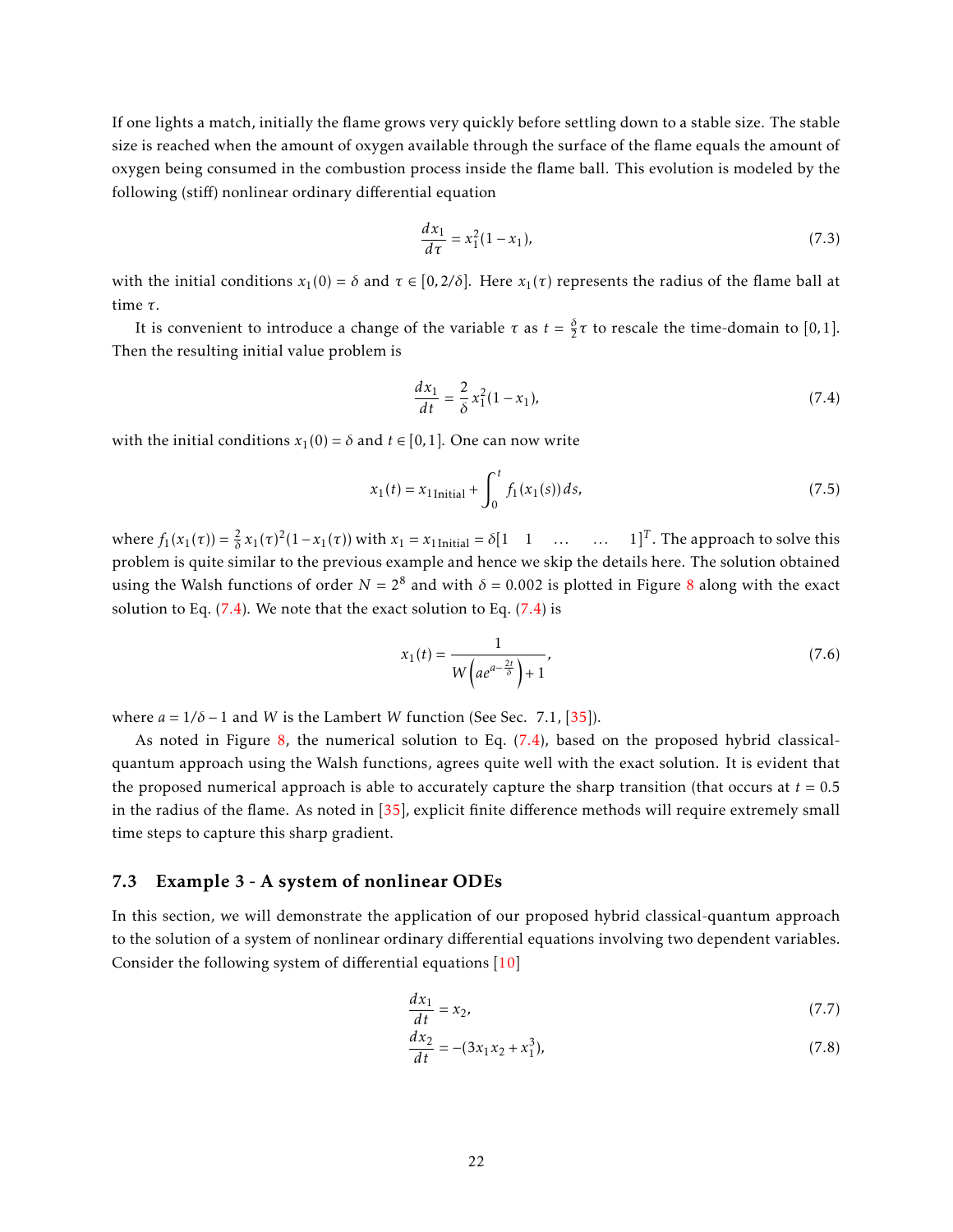If one lights a match, initially the flame grows very quickly before settling down to a stable size. The stable size is reached when the amount of oxygen available through the surface of the flame equals the amount of oxygen being consumed in the combustion process inside the flame ball. This evolution is modeled by the following (stiff) nonlinear ordinary differential equation

$$
\frac{dx_1}{d\tau} = x_1^2 (1 - x_1),\tag{7.3}
$$

with the initial conditions  $x_1(0) = \delta$  and  $\tau \in [0, 2/\delta]$ . Here  $x_1(\tau)$  represents the radius of the flame ball at time *τ*.

It is convenient to introduce a change of the variable  $\tau$  as  $t = \frac{\delta}{2}\tau$  to rescale the time-domain to [0,1]. Then the resulting initial value problem is

<span id="page-21-0"></span>
$$
\frac{dx_1}{dt} = \frac{2}{\delta} x_1^2 (1 - x_1),\tag{7.4}
$$

with the initial conditions  $x_1(0) = \delta$  and  $t \in [0,1]$ . One can now write

$$
x_1(t) = x_1_{\text{Initial}} + \int_0^t f_1(x_1(s)) ds,
$$
\n(7.5)

where  $f_1(x_1(\tau)) = \frac{2}{\delta} x_1(\tau)^2 (1 - x_1(\tau))$  with  $x_1 = x_1$ <sub>Initial</sub> =  $\delta[1 \quad 1 \quad \dots \quad 1]^T$ . The approach to solve this problem is quite similar to the previous example and hence we skip the details here. The solution obtained using the Walsh functions of order  $N = 2^8$  $N = 2^8$  and with  $\delta = 0.002$  is plotted in Figure 8 along with the exact solution to Eq.  $(7.4)$ . We note that the exact solution to Eq.  $(7.4)$  is

<span id="page-21-1"></span>
$$
x_1(t) = \frac{1}{W\left(a e^{a - \frac{2t}{\delta}}\right) + 1},\tag{7.6}
$$

where  $a = 1/\delta - 1$  and *W* is the Lambert *W* function (See Sec. 7.1, [\[35\]](#page-28-7)).

As noted in Figure [8,](#page-22-0) the numerical solution to Eq. [\(7.4\)](#page-21-0), based on the proposed hybrid classicalquantum approach using the Walsh functions, agrees quite well with the exact solution. It is evident that the proposed numerical approach is able to accurately capture the sharp transition (that occurs at  $t = 0.5$ ) in the radius of the flame. As noted in [\[35\]](#page-28-7), explicit finite difference methods will require extremely small time steps to capture this sharp gradient.

#### 7.3 Example 3 - A system of nonlinear ODEs

In this section, we will demonstrate the application of our proposed hybrid classical-quantum approach to the solution of a system of nonlinear ordinary differential equations involving two dependent variables. Consider the following system of differential equations [\[10\]](#page-26-9)

<span id="page-21-3"></span><span id="page-21-2"></span>
$$
\frac{dx_1}{dt} = x_2,\tag{7.7}
$$

$$
\frac{dx_2}{dt} = -(3x_1x_2 + x_1^3),\tag{7.8}
$$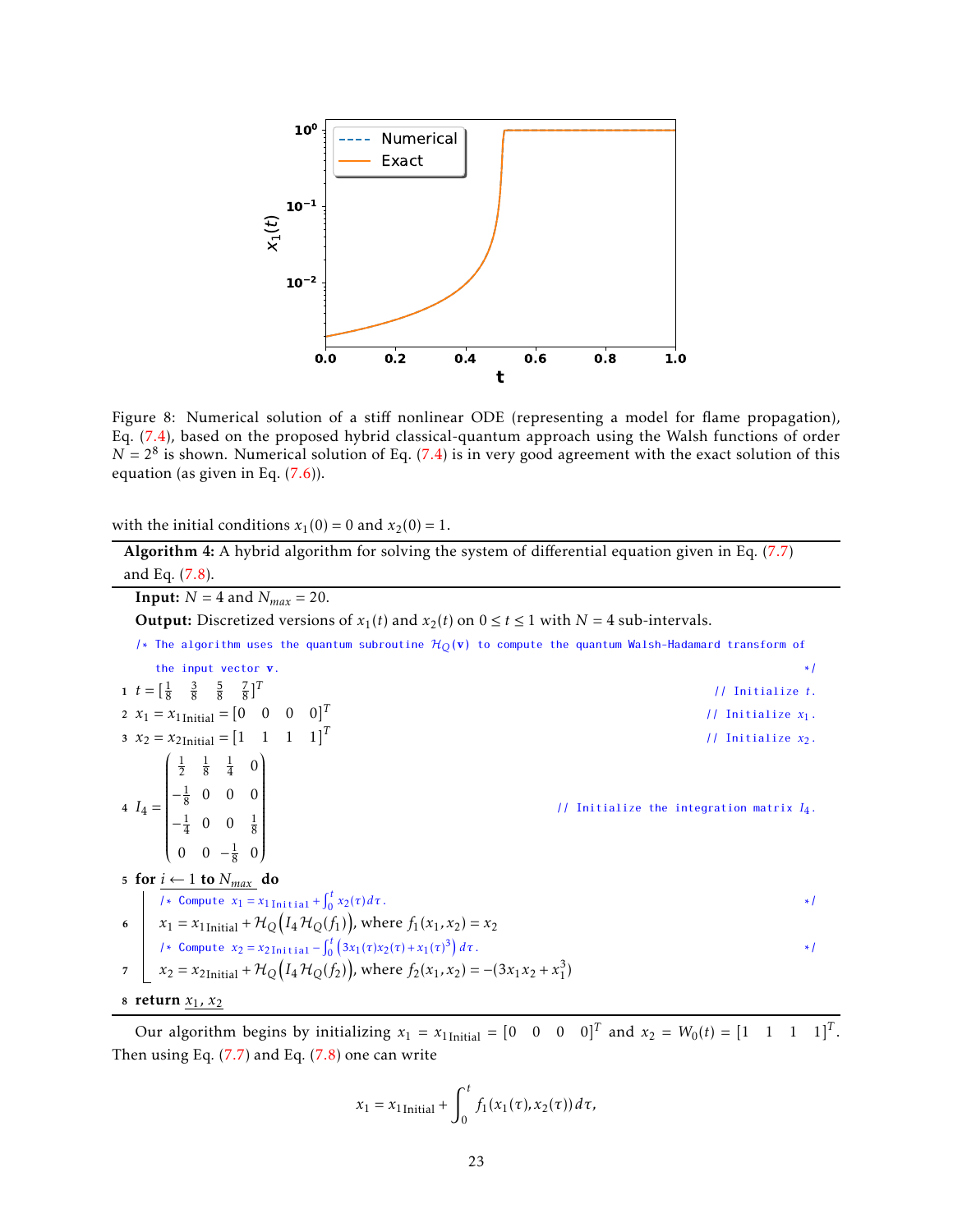<span id="page-22-0"></span>

Figure 8: Numerical solution of a stiff nonlinear ODE (representing a model for flame propagation), Eq. [\(7.4\)](#page-21-0), based on the proposed hybrid classical-quantum approach using the Walsh functions of order  $N = 2<sup>8</sup>$  is shown. Numerical solution of Eq. [\(7.4\)](#page-21-0) is in very good agreement with the exact solution of this equation (as given in Eq.  $(7.6)$ ).

with the initial conditions  $x_1(0) = 0$  and  $x_2(0) = 1$ .

<span id="page-22-1"></span>Algorithm 4: A hybrid algorithm for solving the system of differential equation given in Eq*.* [\(7.7\)](#page-21-2) and Eq*.* [\(7.8\)](#page-21-3). **Input:**  $N = 4$  and  $N_{max} = 20$ . **Output:** Discretized versions of  $x_1(t)$  and  $x_2(t)$  on  $0 \le t \le 1$  with  $N = 4$  sub-intervals. /\* The algorithm uses the quantum subroutine  $H<sub>O</sub>(v)$  to compute the quantum Walsh-Hadamard transform of the input vector  $\bf{v}$ .  $*$ / 1  $t = \begin{bmatrix} \frac{1}{8} & \frac{3}{8} & \frac{5}{8} & \frac{7}{8} \end{bmatrix}^T$ // Initialize *t*. 2  $x_1 = x_1$ Initial =  $[0 \ 0 \ 0 \ 0]^T$ // Initialize *x*1. 3  $x_2 = x_{2}$ Initial =  $\begin{bmatrix} 1 & 1 & 1 & 1 \end{bmatrix}^T$ // Initialize *x*2.  $4 I_4 =$  $\frac{1}{2}$   $\frac{1}{8}$   $\frac{1}{4}$  0  $-\frac{1}{8}$  0 0 0  $-\frac{1}{4}$  0 0  $\frac{1}{8}$ 0 0  $-\frac{1}{8}$  0  $\overline{\phantom{a}}$  // Initialize the integration matrix *I*4. 5 for  $i \leftarrow 1$  to  $N_{max}$  do /\* Compute  $x_1 = x_1$ <sub>Initial</sub> +  $\int_0^t$  $\bf{0}$  $x_2(\tau) d\tau$ . \*/ 6  $x_1 = x_1$ <sub>Initial</sub> +  $\mathcal{H}_{Q}(I_4 \mathcal{H}_{Q}(f_1))$ , where  $f_1(x_1, x_2) = x_2$ /\* Compute  $x_2 = x_2$ <sub>Initial</sub> −  $\int_0^t$  $\int_0^t \left(3x_1(\tau)x_2(\tau) + x_1(\tau)^3\right) d\tau$ .  $\mathcal{F}$   $x_2 = x_{2 \text{Initial}} + \mathcal{H}_Q(I_4 \mathcal{H}_Q(f_2))$ , where  $f_2(x_1, x_2) = -(3x_1x_2 + x_1^3)$ 8 return  $x_1, x_2$ 

Our algorithm begins by initializing  $x_1 = x_1$ <sub>Initial</sub> =  $\begin{bmatrix} 0 & 0 & 0 & 0 \end{bmatrix}^T$  and  $x_2 = W_0(t) = \begin{bmatrix} 1 & 1 & 1 & 1 \end{bmatrix}^T$ . Then using Eq*.* [\(7.7\)](#page-21-2) and Eq*.* [\(7.8\)](#page-21-3) one can write

$$
x_1 = x_{1\text{Initial}} + \int_0^t f_1(x_1(\tau), x_2(\tau)) d\tau,
$$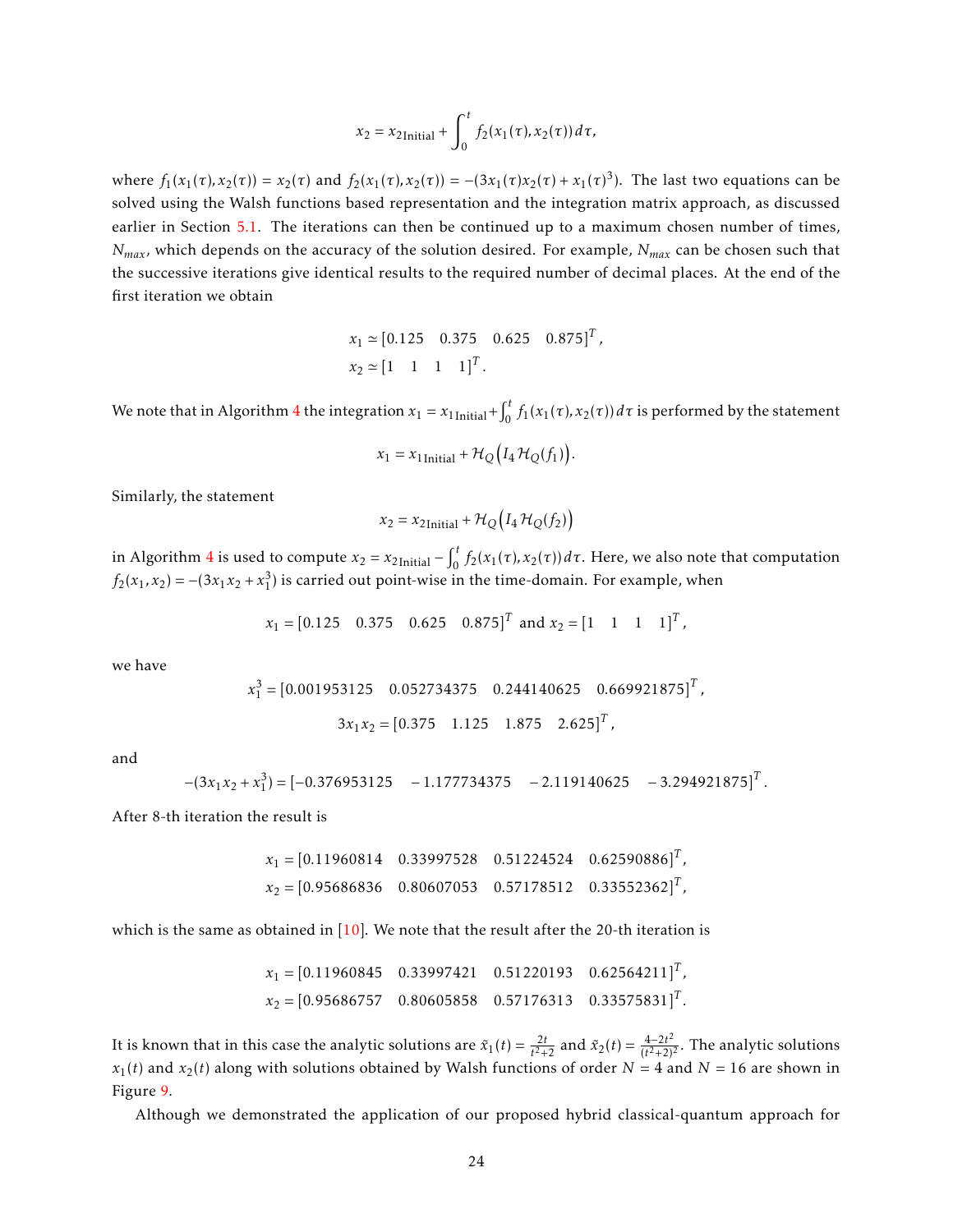$$
x_2 = x_{2\text{Initial}} + \int_0^t f_2(x_1(\tau), x_2(\tau)) d\tau,
$$

where  $f_1(x_1(\tau), x_2(\tau)) = x_2(\tau)$  and  $f_2(x_1(\tau), x_2(\tau)) = -(3x_1(\tau)x_2(\tau) + x_1(\tau)^3)$ . The last two equations can be solved using the Walsh functions based representation and the integration matrix approach, as discussed earlier in Section [5.1.](#page-14-0) The iterations can then be continued up to a maximum chosen number of times, *Nmax*, which depends on the accuracy of the solution desired. For example, *Nmax* can be chosen such that the successive iterations give identical results to the required number of decimal places. At the end of the first iteration we obtain

$$
x_1 \approx [0.125 \quad 0.375 \quad 0.625 \quad 0.875]^T
$$
,  
 $x_2 \approx [1 \quad 1 \quad 1 \quad 1]^T$ .

We note that in Algorithm [4](#page-22-1) the integration  $x_1 = x_1$ <sub>Initial</sub> +  $\int_0^t$  $\int_0^t f_1(x_1(\tau), x_2(\tau)) d\tau$  is performed by the statement

$$
x_1 = x_{1\text{Initial}} + \mathcal{H}_Q(I_4 \mathcal{H}_Q(f_1)).
$$

Similarly, the statement

$$
x_2 = x_{2\text{Initial}} + \mathcal{H}_Q(I_4 \mathcal{H}_Q(f_2))
$$

in Algorithm [4](#page-22-1) is used to compute  $x_2 = x_{2}$ <sub>Initial</sub> –  $\int_0^t$  $\int_{0}^{t} f_{2}(x_{1}(\tau), x_{2}(\tau)) d\tau$ . Here, we also note that computation  $f_2(x_1, x_2) = -(3x_1x_2 + x_1^3)$  is carried out point-wise in the time-domain. For example, when

$$
x_1 = [0.125 \quad 0.375 \quad 0.625 \quad 0.875]^T
$$
 and  $x_2 = [1 \quad 1 \quad 1 \quad 1]^T$ ,

we have

$$
x_1^3 = [0.001953125 \quad 0.052734375 \quad 0.244140625 \quad 0.669921875]^T,
$$
  

$$
3x_1x_2 = [0.375 \quad 1.125 \quad 1.875 \quad 2.625]^T,
$$

and

$$
-(3x_1x_2 + x_1^3) = [-0.376953125 - 1.177734375 - 2.119140625 - 3.294921875]^T.
$$

After 8-th iteration the result is

$$
x_1 = [0.11960814 \quad 0.33997528 \quad 0.51224524 \quad 0.62590886]^T,
$$
  

$$
x_2 = [0.95686836 \quad 0.80607053 \quad 0.57178512 \quad 0.33552362]^T,
$$

which is the same as obtained in  $[10]$ . We note that the result after the 20-th iteration is

$$
x_1 = [0.11960845 \quad 0.33997421 \quad 0.51220193 \quad 0.62564211]^T
$$
,  
\n $x_2 = [0.95686757 \quad 0.80605858 \quad 0.57176313 \quad 0.33575831]^T$ .

It is known that in this case the analytic solutions are  $\tilde{x}_1(t) = \frac{2t}{t^2+2}$  and  $\tilde{x}_2(t) = \frac{4-2t^2}{(t^2+2)^2}$  $\frac{4-2t^2}{(t^2+2)^2}$ . The analytic solutions  $x_1(t)$  and  $x_2(t)$  along with solutions obtained by Walsh functions of order  $N = 4$  and  $N = 16$  are shown in Figure [9.](#page-24-0)

Although we demonstrated the application of our proposed hybrid classical-quantum approach for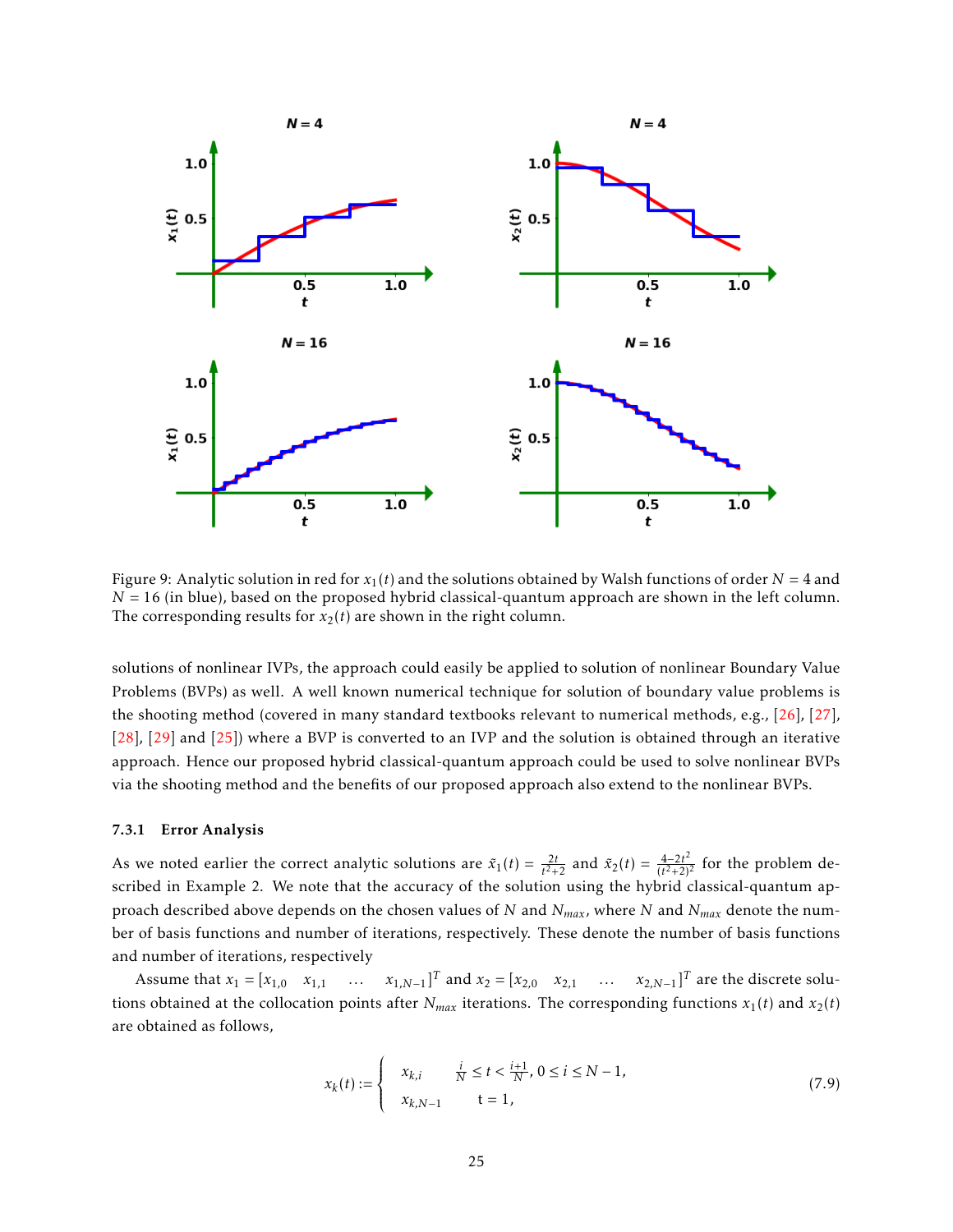<span id="page-24-0"></span>

Figure 9: Analytic solution in red for  $x_1(t)$  and the solutions obtained by Walsh functions of order  $N = 4$  and *N* = 16 (in blue), based on the proposed hybrid classical-quantum approach are shown in the left column. The corresponding results for  $x_2(t)$  are shown in the right column.

solutions of nonlinear IVPs, the approach could easily be applied to solution of nonlinear Boundary Value Problems (BVPs) as well. A well known numerical technique for solution of boundary value problems is the shooting method (covered in many standard textbooks relevant to numerical methods, e.g., [\[26\]](#page-27-15), [\[27\]](#page-27-16), [\[28\]](#page-28-0), [\[29\]](#page-28-1) and [\[25\]](#page-27-14)) where a BVP is converted to an IVP and the solution is obtained through an iterative approach. Hence our proposed hybrid classical-quantum approach could be used to solve nonlinear BVPs via the shooting method and the benefits of our proposed approach also extend to the nonlinear BVPs.

#### 7.3.1 Error Analysis

As we noted earlier the correct analytic solutions are  $\tilde{x}_1(t) = \frac{2t}{t^2+2}$  and  $\tilde{x}_2(t) = \frac{4-2t^2}{(t^2+2)}$  $\frac{4-2t^2}{(t^2+2)^2}$  for the problem described in Example 2. We note that the accuracy of the solution using the hybrid classical-quantum approach described above depends on the chosen values of *N* and *Nmax*, where *N* and *Nmax* denote the number of basis functions and number of iterations, respectively. These denote the number of basis functions and number of iterations, respectively

Assume that  $x_1 = [x_{1,0} \ x_{1,1} \ \dots \ x_{1,N-1}]^T$  and  $x_2 = [x_{2,0} \ x_{2,1} \ \dots \ x_{2,N-1}]^T$  are the discrete solutions obtained at the collocation points after  $N_{max}$  iterations. The corresponding functions  $x_1(t)$  and  $x_2(t)$ are obtained as follows,

$$
x_k(t) := \begin{cases} x_{k,i} & \frac{i}{N} \le t < \frac{i+1}{N}, \ 0 \le i \le N-1, \\ x_{k,N-1} & t = 1, \end{cases}
$$
(7.9)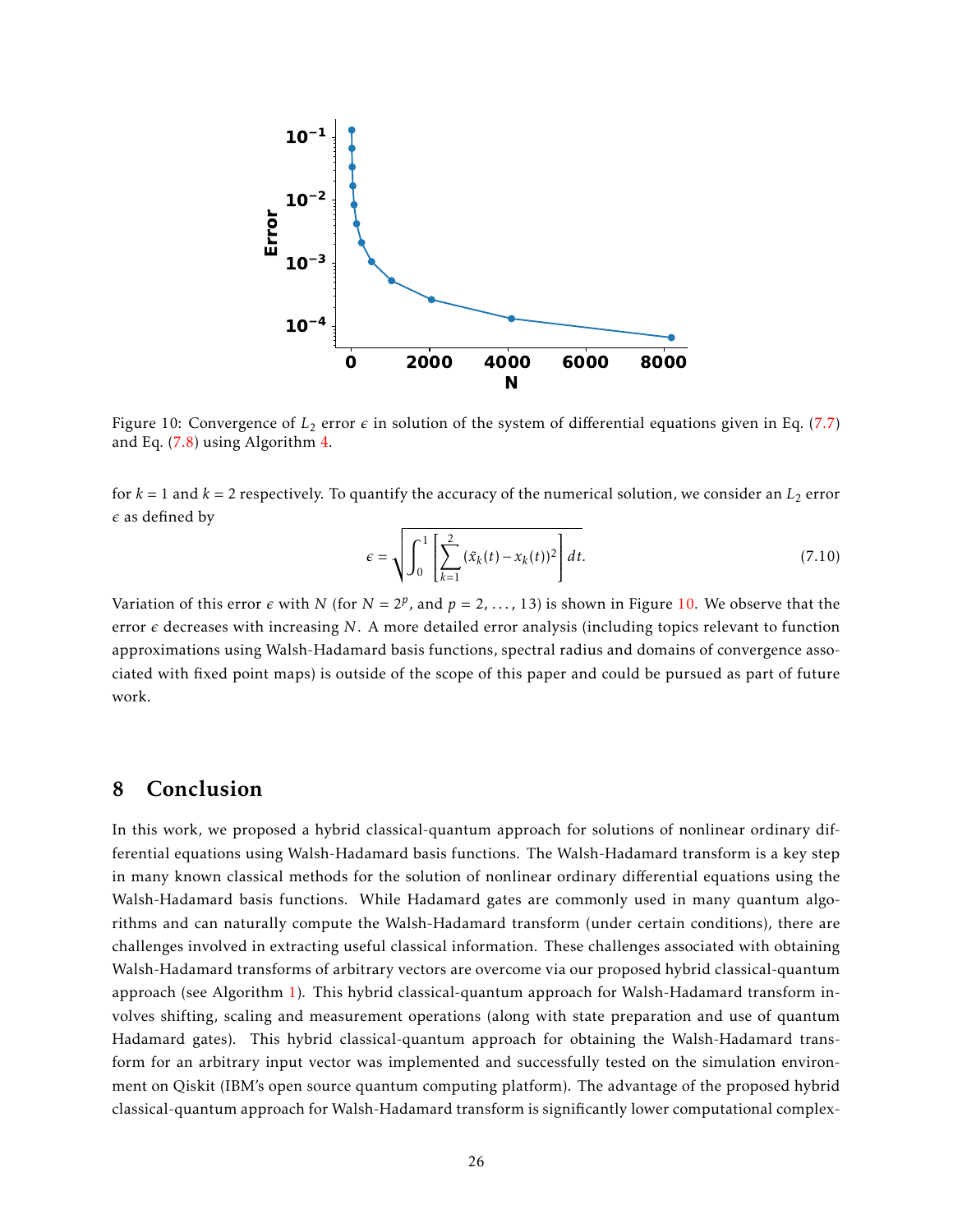<span id="page-25-1"></span>

Figure 10: Convergence of  $L_2$  error  $\epsilon$  in solution of the system of differential equations given in Eq. [\(7.7\)](#page-21-2) and Eq*.* [\(7.8\)](#page-21-3) using Algorithm [4.](#page-22-1)

for  $k = 1$  and  $k = 2$  respectively. To quantify the accuracy of the numerical solution, we consider an  $L_2$  error  $\epsilon$  as defined by

$$
\epsilon = \sqrt{\int_0^1 \left[ \sum_{k=1}^2 (\tilde{x}_k(t) - x_k(t))^2 \right] dt}.
$$
\n(7.10)

Variation of this error  $\epsilon$  with *N* (for  $N = 2^p$ , and  $p = 2, ..., 13$ ) is shown in Figure [10.](#page-25-1) We observe that the error  $\epsilon$  decreases with increasing N. A more detailed error analysis (including topics relevant to function approximations using Walsh-Hadamard basis functions, spectral radius and domains of convergence associated with fixed point maps) is outside of the scope of this paper and could be pursued as part of future work.

## <span id="page-25-0"></span>8 Conclusion

In this work, we proposed a hybrid classical-quantum approach for solutions of nonlinear ordinary differential equations using Walsh-Hadamard basis functions. The Walsh-Hadamard transform is a key step in many known classical methods for the solution of nonlinear ordinary differential equations using the Walsh-Hadamard basis functions. While Hadamard gates are commonly used in many quantum algorithms and can naturally compute the Walsh-Hadamard transform (under certain conditions), there are challenges involved in extracting useful classical information. These challenges associated with obtaining Walsh-Hadamard transforms of arbitrary vectors are overcome via our proposed hybrid classical-quantum approach (see Algorithm [1\)](#page-12-2). This hybrid classical-quantum approach for Walsh-Hadamard transform involves shifting, scaling and measurement operations (along with state preparation and use of quantum Hadamard gates). This hybrid classical-quantum approach for obtaining the Walsh-Hadamard transform for an arbitrary input vector was implemented and successfully tested on the simulation environment on Qiskit (IBM's open source quantum computing platform). The advantage of the proposed hybrid classical-quantum approach for Walsh-Hadamard transform is significantly lower computational complex-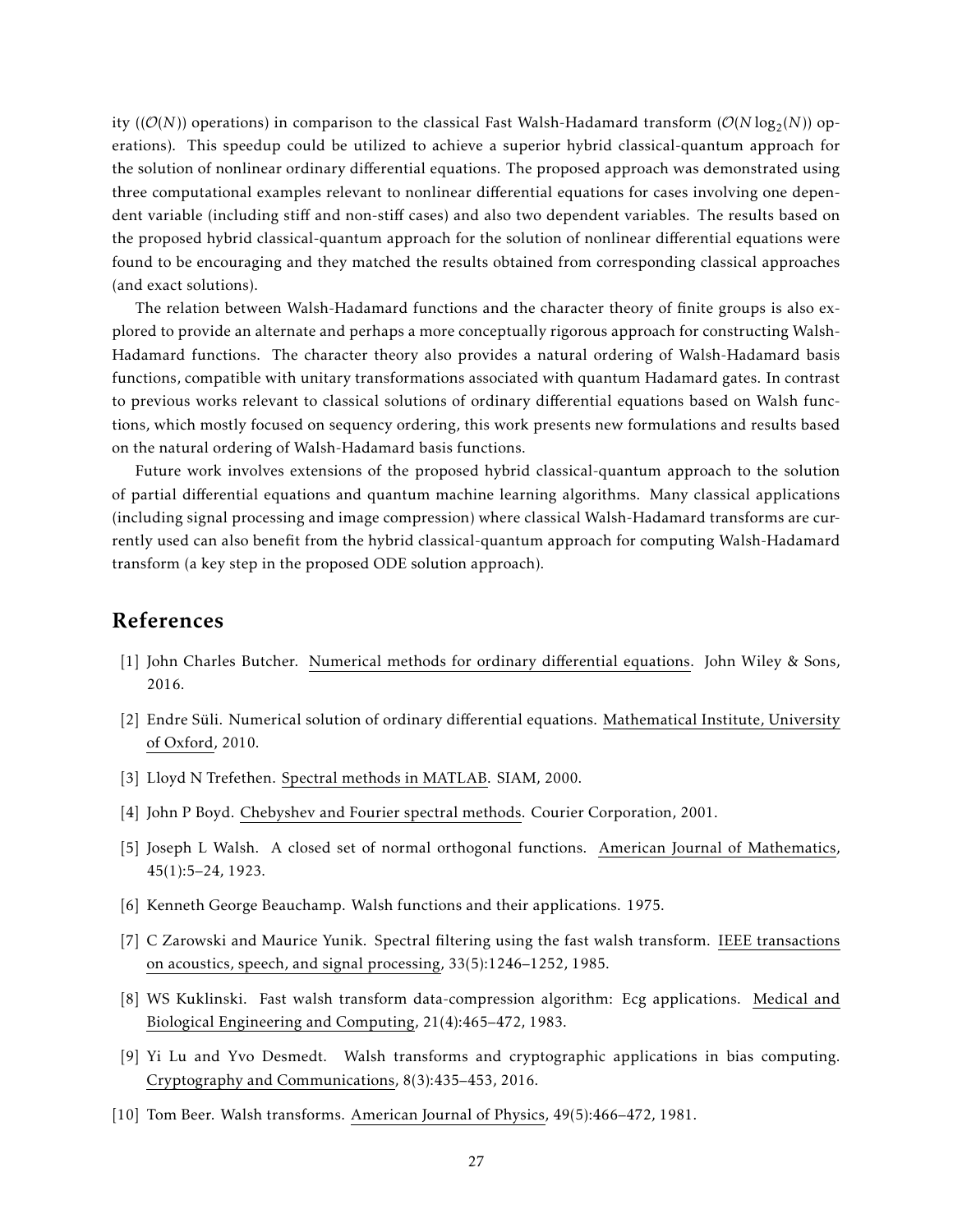ity  $((\mathcal{O}(N))$  operations) in comparison to the classical Fast Walsh-Hadamard transform  $(\mathcal{O}(N \log_2(N))$  operations). This speedup could be utilized to achieve a superior hybrid classical-quantum approach for the solution of nonlinear ordinary differential equations. The proposed approach was demonstrated using three computational examples relevant to nonlinear differential equations for cases involving one dependent variable (including stiff and non-stiff cases) and also two dependent variables. The results based on the proposed hybrid classical-quantum approach for the solution of nonlinear differential equations were found to be encouraging and they matched the results obtained from corresponding classical approaches (and exact solutions).

The relation between Walsh-Hadamard functions and the character theory of finite groups is also explored to provide an alternate and perhaps a more conceptually rigorous approach for constructing Walsh-Hadamard functions. The character theory also provides a natural ordering of Walsh-Hadamard basis functions, compatible with unitary transformations associated with quantum Hadamard gates. In contrast to previous works relevant to classical solutions of ordinary differential equations based on Walsh functions, which mostly focused on sequency ordering, this work presents new formulations and results based on the natural ordering of Walsh-Hadamard basis functions.

Future work involves extensions of the proposed hybrid classical-quantum approach to the solution of partial differential equations and quantum machine learning algorithms. Many classical applications (including signal processing and image compression) where classical Walsh-Hadamard transforms are currently used can also benefit from the hybrid classical-quantum approach for computing Walsh-Hadamard transform (a key step in the proposed ODE solution approach).

### References

- <span id="page-26-0"></span>[1] John Charles Butcher. Numerical methods for ordinary differential equations. John Wiley & Sons, 2016.
- <span id="page-26-1"></span>[2] Endre Süli. Numerical solution of ordinary differential equations. Mathematical Institute, University of Oxford, 2010.
- <span id="page-26-2"></span>[3] Lloyd N Trefethen. Spectral methods in MATLAB. SIAM, 2000.
- <span id="page-26-3"></span>[4] John P Boyd. Chebyshev and Fourier spectral methods. Courier Corporation, 2001.
- <span id="page-26-4"></span>[5] Joseph L Walsh. A closed set of normal orthogonal functions. American Journal of Mathematics, 45(1):5–24, 1923.
- <span id="page-26-5"></span>[6] Kenneth George Beauchamp. Walsh functions and their applications. 1975.
- <span id="page-26-6"></span>[7] C Zarowski and Maurice Yunik. Spectral filtering using the fast walsh transform. IEEE transactions on acoustics, speech, and signal processing, 33(5):1246–1252, 1985.
- <span id="page-26-7"></span>[8] WS Kuklinski. Fast walsh transform data-compression algorithm: Ecg applications. Medical and Biological Engineering and Computing, 21(4):465–472, 1983.
- <span id="page-26-8"></span>[9] Yi Lu and Yvo Desmedt. Walsh transforms and cryptographic applications in bias computing. Cryptography and Communications, 8(3):435–453, 2016.
- <span id="page-26-9"></span>[10] Tom Beer. Walsh transforms. American Journal of Physics, 49(5):466–472, 1981.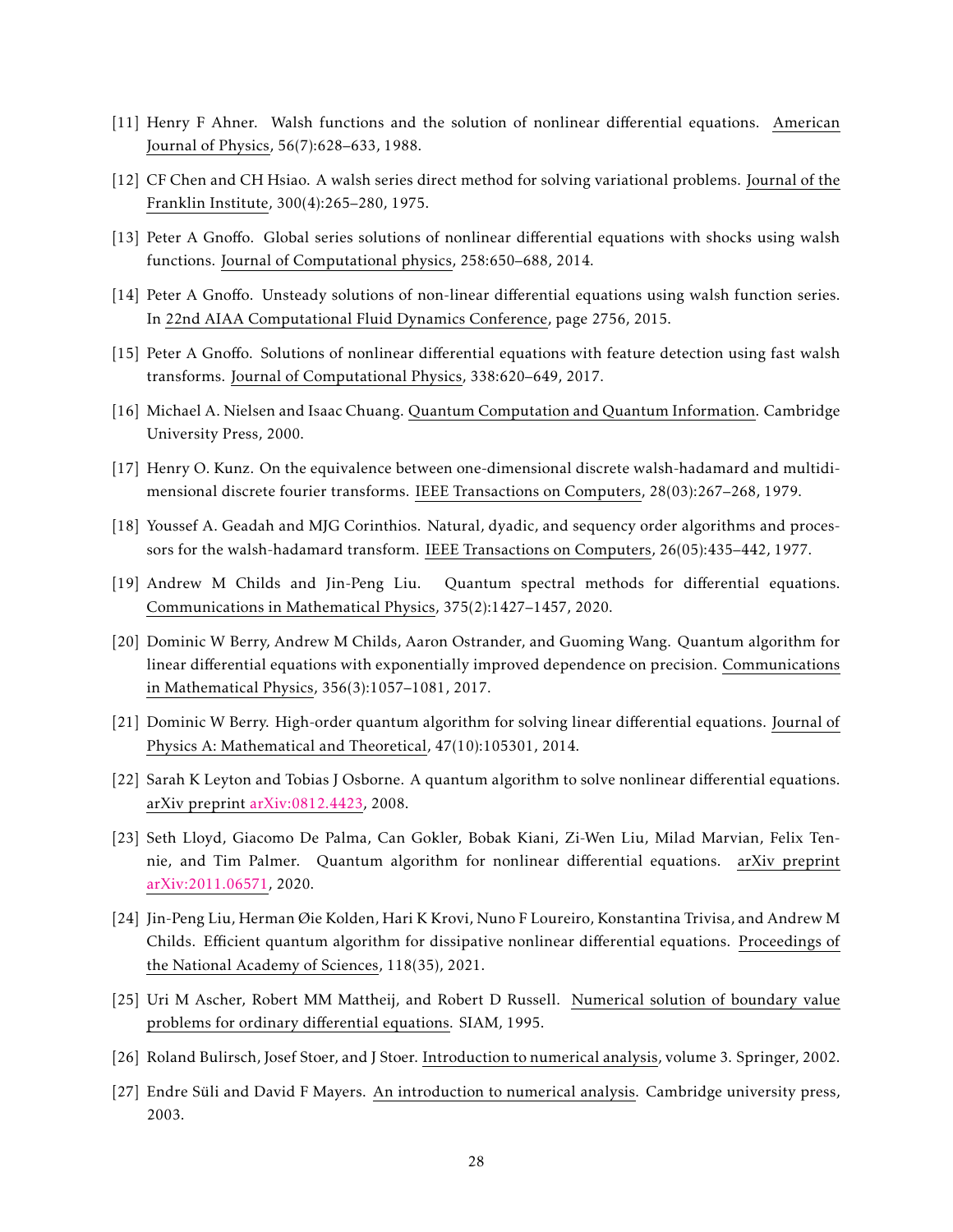- <span id="page-27-0"></span>[11] Henry F Ahner. Walsh functions and the solution of nonlinear differential equations. American Journal of Physics, 56(7):628–633, 1988.
- <span id="page-27-1"></span>[12] CF Chen and CH Hsiao. A walsh series direct method for solving variational problems. Journal of the Franklin Institute, 300(4):265–280, 1975.
- <span id="page-27-2"></span>[13] Peter A Gnoffo. Global series solutions of nonlinear differential equations with shocks using walsh functions. Journal of Computational physics, 258:650–688, 2014.
- <span id="page-27-3"></span>[14] Peter A Gnoffo. Unsteady solutions of non-linear differential equations using walsh function series. In 22nd AIAA Computational Fluid Dynamics Conference, page 2756, 2015.
- <span id="page-27-4"></span>[15] Peter A Gnoffo. Solutions of nonlinear differential equations with feature detection using fast walsh transforms. Journal of Computational Physics, 338:620–649, 2017.
- <span id="page-27-5"></span>[16] Michael A. Nielsen and Isaac Chuang. Quantum Computation and Quantum Information. Cambridge University Press, 2000.
- <span id="page-27-6"></span>[17] Henry O. Kunz. On the equivalence between one-dimensional discrete walsh-hadamard and multidimensional discrete fourier transforms. IEEE Transactions on Computers, 28(03):267–268, 1979.
- <span id="page-27-7"></span>[18] Youssef A. Geadah and MJG Corinthios. Natural, dyadic, and sequency order algorithms and processors for the walsh-hadamard transform. IEEE Transactions on Computers, 26(05):435–442, 1977.
- <span id="page-27-8"></span>[19] Andrew M Childs and Jin-Peng Liu. Quantum spectral methods for differential equations. Communications in Mathematical Physics, 375(2):1427–1457, 2020.
- <span id="page-27-9"></span>[20] Dominic W Berry, Andrew M Childs, Aaron Ostrander, and Guoming Wang. Quantum algorithm for linear differential equations with exponentially improved dependence on precision. Communications in Mathematical Physics, 356(3):1057–1081, 2017.
- <span id="page-27-10"></span>[21] Dominic W Berry. High-order quantum algorithm for solving linear differential equations. Journal of Physics A: Mathematical and Theoretical, 47(10):105301, 2014.
- <span id="page-27-11"></span>[22] Sarah K Leyton and Tobias J Osborne. A quantum algorithm to solve nonlinear differential equations. arXiv preprint [arXiv:0812.4423,](http://arxiv.org/abs/0812.4423) 2008.
- <span id="page-27-12"></span>[23] Seth Lloyd, Giacomo De Palma, Can Gokler, Bobak Kiani, Zi-Wen Liu, Milad Marvian, Felix Tennie, and Tim Palmer. Quantum algorithm for nonlinear differential equations. arXiv preprint [arXiv:2011.06571,](http://arxiv.org/abs/2011.06571) 2020.
- <span id="page-27-13"></span>[24] Jin-Peng Liu, Herman Øie Kolden, Hari K Krovi, Nuno F Loureiro, Konstantina Trivisa, and Andrew M Childs. Efficient quantum algorithm for dissipative nonlinear differential equations. Proceedings of the National Academy of Sciences, 118(35), 2021.
- <span id="page-27-14"></span>[25] Uri M Ascher, Robert MM Mattheij, and Robert D Russell. Numerical solution of boundary value problems for ordinary differential equations. SIAM, 1995.
- <span id="page-27-15"></span>[26] Roland Bulirsch, Josef Stoer, and J Stoer. Introduction to numerical analysis, volume 3. Springer, 2002.
- <span id="page-27-16"></span>[27] Endre Süli and David F Mayers. An introduction to numerical analysis. Cambridge university press, 2003.